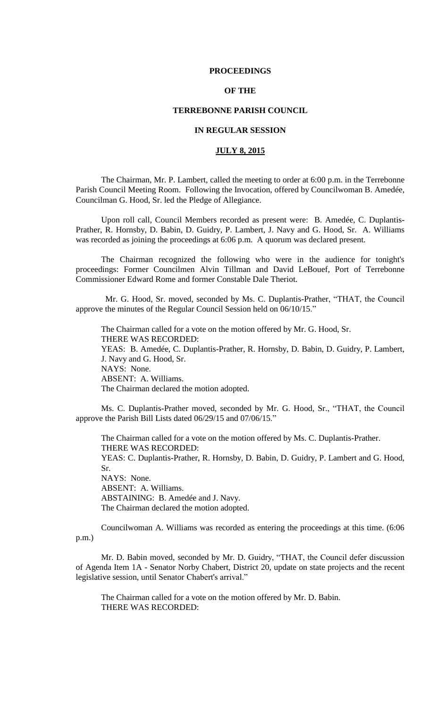#### **PROCEEDINGS**

# **OF THE**

## **TERREBONNE PARISH COUNCIL**

## **IN REGULAR SESSION**

## **JULY 8, 2015**

The Chairman, Mr. P. Lambert, called the meeting to order at 6:00 p.m. in the Terrebonne Parish Council Meeting Room. Following the Invocation, offered by Councilwoman B. Amedée, Councilman G. Hood, Sr. led the Pledge of Allegiance.

Upon roll call, Council Members recorded as present were: B. Amedée, C. Duplantis-Prather, R. Hornsby, D. Babin, D. Guidry, P. Lambert, J. Navy and G. Hood, Sr. A. Williams was recorded as joining the proceedings at 6:06 p.m. A quorum was declared present.

The Chairman recognized the following who were in the audience for tonight's proceedings: Former Councilmen Alvin Tillman and David LeBouef, Port of Terrebonne Commissioner Edward Rome and former Constable Dale Theriot.

 Mr. G. Hood, Sr. moved, seconded by Ms. C. Duplantis-Prather, "THAT, the Council approve the minutes of the Regular Council Session held on 06/10/15."

The Chairman called for a vote on the motion offered by Mr. G. Hood, Sr. THERE WAS RECORDED: YEAS: B. Amedée, C. Duplantis-Prather, R. Hornsby, D. Babin, D. Guidry, P. Lambert, J. Navy and G. Hood, Sr. NAYS: None. ABSENT: A. Williams. The Chairman declared the motion adopted.

Ms. C. Duplantis-Prather moved, seconded by Mr. G. Hood, Sr., "THAT, the Council approve the Parish Bill Lists dated 06/29/15 and 07/06/15."

The Chairman called for a vote on the motion offered by Ms. C. Duplantis-Prather. THERE WAS RECORDED: YEAS: C. Duplantis-Prather, R. Hornsby, D. Babin, D. Guidry, P. Lambert and G. Hood, Sr. NAYS: None. ABSENT: A. Williams. ABSTAINING: B. Amedée and J. Navy. The Chairman declared the motion adopted.

Councilwoman A. Williams was recorded as entering the proceedings at this time. (6:06 p.m.)

Mr. D. Babin moved, seconded by Mr. D. Guidry, "THAT, the Council defer discussion of Agenda Item 1A - Senator Norby Chabert, District 20, update on state projects and the recent legislative session, until Senator Chabert's arrival."

The Chairman called for a vote on the motion offered by Mr. D. Babin. THERE WAS RECORDED: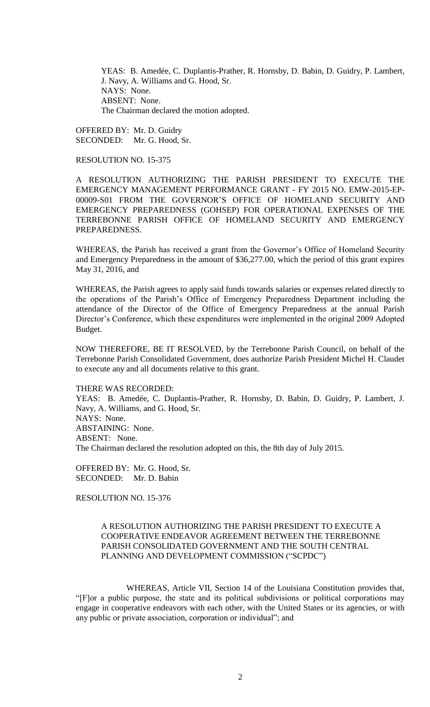YEAS: B. Amedée, C. Duplantis-Prather, R. Hornsby, D. Babin, D. Guidry, P. Lambert, J. Navy, A. Williams and G. Hood, Sr. NAYS: None. ABSENT: None. The Chairman declared the motion adopted.

OFFERED BY: Mr. D. Guidry SECONDED: Mr. G. Hood, Sr.

RESOLUTION NO. 15-375

A RESOLUTION AUTHORIZING THE PARISH PRESIDENT TO EXECUTE THE EMERGENCY MANAGEMENT PERFORMANCE GRANT - FY 2015 NO. EMW-2015-EP-00009-S01 FROM THE GOVERNOR'S OFFICE OF HOMELAND SECURITY AND EMERGENCY PREPAREDNESS (GOHSEP) FOR OPERATIONAL EXPENSES OF THE TERREBONNE PARISH OFFICE OF HOMELAND SECURITY AND EMERGENCY PREPAREDNESS.

WHEREAS, the Parish has received a grant from the Governor's Office of Homeland Security and Emergency Preparedness in the amount of \$36,277.00, which the period of this grant expires May 31, 2016, and

WHEREAS, the Parish agrees to apply said funds towards salaries or expenses related directly to the operations of the Parish's Office of Emergency Preparedness Department including the attendance of the Director of the Office of Emergency Preparedness at the annual Parish Director's Conference, which these expenditures were implemented in the original 2009 Adopted Budget.

NOW THEREFORE, BE IT RESOLVED, by the Terrebonne Parish Council, on behalf of the Terrebonne Parish Consolidated Government, does authorize Parish President Michel H. Claudet to execute any and all documents relative to this grant.

THERE WAS RECORDED:

YEAS: B. Amedée, C. Duplantis-Prather, R. Hornsby, D. Babin, D. Guidry, P. Lambert, J. Navy, A. Williams, and G. Hood, Sr. NAYS: None. ABSTAINING: None. ABSENT: None. The Chairman declared the resolution adopted on this, the 8th day of July 2015.

OFFERED BY: Mr. G. Hood, Sr. SECONDED: Mr. D. Babin

RESOLUTION NO. 15-376

# A RESOLUTION AUTHORIZING THE PARISH PRESIDENT TO EXECUTE A COOPERATIVE ENDEAVOR AGREEMENT BETWEEN THE TERREBONNE PARISH CONSOLIDATED GOVERNMENT AND THE SOUTH CENTRAL PLANNING AND DEVELOPMENT COMMISSION ("SCPDC")

WHEREAS, Article VII, Section 14 of the Louisiana Constitution provides that, "[F]or a public purpose, the state and its political subdivisions or political corporations may engage in cooperative endeavors with each other, with the United States or its agencies, or with any public or private association, corporation or individual"; and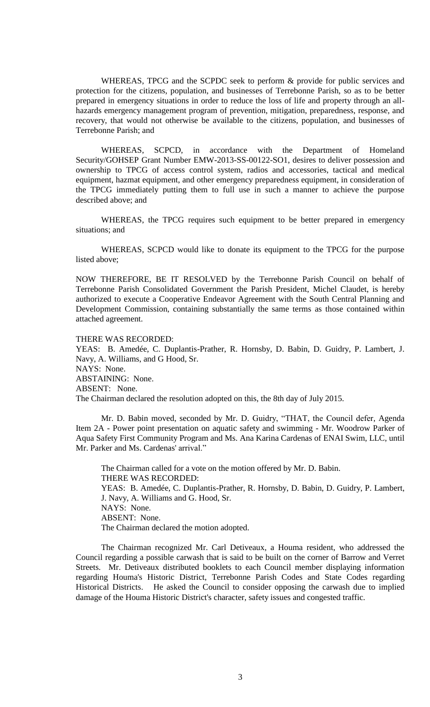WHEREAS, TPCG and the SCPDC seek to perform & provide for public services and protection for the citizens, population, and businesses of Terrebonne Parish, so as to be better prepared in emergency situations in order to reduce the loss of life and property through an allhazards emergency management program of prevention, mitigation, preparedness, response, and recovery, that would not otherwise be available to the citizens, population, and businesses of Terrebonne Parish; and

WHEREAS, SCPCD, in accordance with the Department of Homeland Security/GOHSEP Grant Number EMW-2013-SS-00122-SO1, desires to deliver possession and ownership to TPCG of access control system, radios and accessories, tactical and medical equipment, hazmat equipment, and other emergency preparedness equipment, in consideration of the TPCG immediately putting them to full use in such a manner to achieve the purpose described above; and

WHEREAS, the TPCG requires such equipment to be better prepared in emergency situations; and

WHEREAS, SCPCD would like to donate its equipment to the TPCG for the purpose listed above;

NOW THEREFORE, BE IT RESOLVED by the Terrebonne Parish Council on behalf of Terrebonne Parish Consolidated Government the Parish President, Michel Claudet, is hereby authorized to execute a Cooperative Endeavor Agreement with the South Central Planning and Development Commission, containing substantially the same terms as those contained within attached agreement.

THERE WAS RECORDED:

YEAS: B. Amedée, C. Duplantis-Prather, R. Hornsby, D. Babin, D. Guidry, P. Lambert, J. Navy, A. Williams, and G Hood, Sr. NAYS: None. ABSTAINING: None. ABSENT: None. The Chairman declared the resolution adopted on this, the 8th day of July 2015.

Mr. D. Babin moved, seconded by Mr. D. Guidry, "THAT, the Council defer, Agenda Item 2A - Power point presentation on aquatic safety and swimming - Mr. Woodrow Parker of Aqua Safety First Community Program and Ms. Ana Karina Cardenas of ENAI Swim, LLC, until Mr. Parker and Ms. Cardenas' arrival."

The Chairman called for a vote on the motion offered by Mr. D. Babin. THERE WAS RECORDED: YEAS: B. Amedée, C. Duplantis-Prather, R. Hornsby, D. Babin, D. Guidry, P. Lambert, J. Navy, A. Williams and G. Hood, Sr. NAYS: None. ABSENT: None. The Chairman declared the motion adopted.

The Chairman recognized Mr. Carl Detiveaux, a Houma resident, who addressed the Council regarding a possible carwash that is said to be built on the corner of Barrow and Verret Streets. Mr. Detiveaux distributed booklets to each Council member displaying information regarding Houma's Historic District, Terrebonne Parish Codes and State Codes regarding Historical Districts. He asked the Council to consider opposing the carwash due to implied damage of the Houma Historic District's character, safety issues and congested traffic.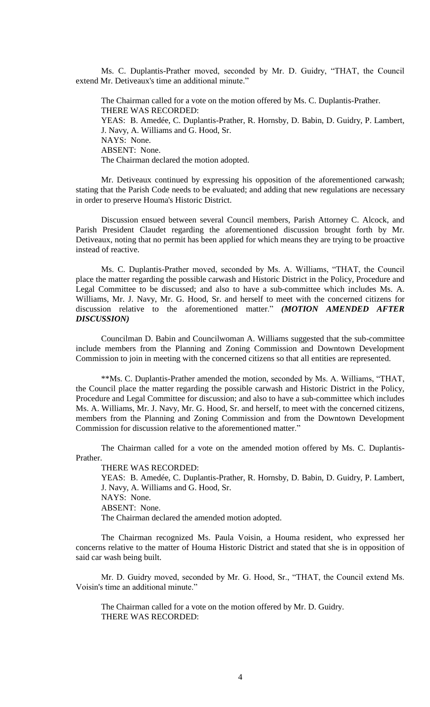Ms. C. Duplantis-Prather moved, seconded by Mr. D. Guidry, "THAT, the Council extend Mr. Detiveaux's time an additional minute."

The Chairman called for a vote on the motion offered by Ms. C. Duplantis-Prather. THERE WAS RECORDED: YEAS: B. Amedée, C. Duplantis-Prather, R. Hornsby, D. Babin, D. Guidry, P. Lambert, J. Navy, A. Williams and G. Hood, Sr. NAYS: None. ABSENT: None. The Chairman declared the motion adopted.

Mr. Detiveaux continued by expressing his opposition of the aforementioned carwash; stating that the Parish Code needs to be evaluated; and adding that new regulations are necessary in order to preserve Houma's Historic District.

Discussion ensued between several Council members, Parish Attorney C. Alcock, and Parish President Claudet regarding the aforementioned discussion brought forth by Mr. Detiveaux, noting that no permit has been applied for which means they are trying to be proactive instead of reactive.

Ms. C. Duplantis-Prather moved, seconded by Ms. A. Williams, "THAT, the Council place the matter regarding the possible carwash and Historic District in the Policy, Procedure and Legal Committee to be discussed; and also to have a sub-committee which includes Ms. A. Williams, Mr. J. Navy, Mr. G. Hood, Sr. and herself to meet with the concerned citizens for discussion relative to the aforementioned matter." *(MOTION AMENDED AFTER DISCUSSION)*

Councilman D. Babin and Councilwoman A. Williams suggested that the sub-committee include members from the Planning and Zoning Commission and Downtown Development Commission to join in meeting with the concerned citizens so that all entities are represented.

\*\*Ms. C. Duplantis-Prather amended the motion, seconded by Ms. A. Williams, "THAT, the Council place the matter regarding the possible carwash and Historic District in the Policy, Procedure and Legal Committee for discussion; and also to have a sub-committee which includes Ms. A. Williams, Mr. J. Navy, Mr. G. Hood, Sr. and herself, to meet with the concerned citizens, members from the Planning and Zoning Commission and from the Downtown Development Commission for discussion relative to the aforementioned matter."

The Chairman called for a vote on the amended motion offered by Ms. C. Duplantis-Prather.

THERE WAS RECORDED:

YEAS: B. Amedée, C. Duplantis-Prather, R. Hornsby, D. Babin, D. Guidry, P. Lambert, J. Navy, A. Williams and G. Hood, Sr. NAYS: None. ABSENT: None. The Chairman declared the amended motion adopted.

The Chairman recognized Ms. Paula Voisin, a Houma resident, who expressed her concerns relative to the matter of Houma Historic District and stated that she is in opposition of said car wash being built.

Mr. D. Guidry moved, seconded by Mr. G. Hood, Sr., "THAT, the Council extend Ms. Voisin's time an additional minute."

The Chairman called for a vote on the motion offered by Mr. D. Guidry. THERE WAS RECORDED: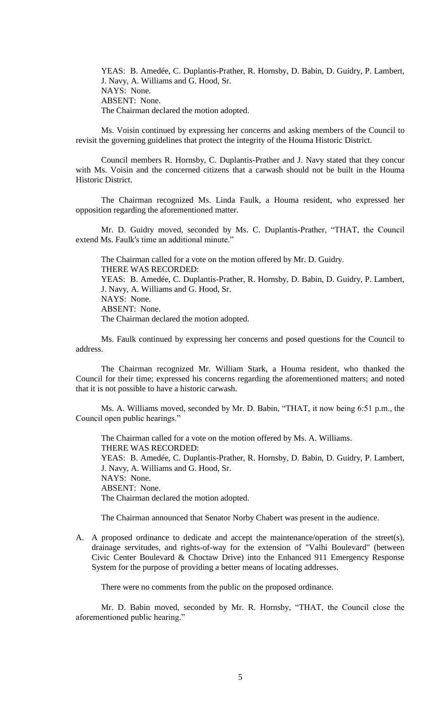YEAS: B. Amedée, C. Duplantis-Prather, R. Hornsby, D. Babin, D. Guidry, P. Lambert, J. Navy, A. Williams and G. Hood, Sr. NAYS: None. ABSENT: None. The Chairman declared the motion adopted.

Ms. Voisin continued by expressing her concerns and asking members of the Council to revisit the governing guidelines that protect the integrity of the Houma Historic District.

Council members R. Hornsby, C. Duplantis-Prather and J. Navy stated that they concur with Ms. Voisin and the concerned citizens that a carwash should not be built in the Houma Historic District.

The Chairman recognized Ms. Linda Faulk, a Houma resident, who expressed her opposition regarding the aforementioned matter.

Mr. D. Guidry moved, seconded by Ms. C. Duplantis-Prather, "THAT, the Council extend Ms. Faulk's time an additional minute."

The Chairman called for a vote on the motion offered by Mr. D. Guidry. THERE WAS RECORDED: YEAS: B. Amedée, C. Duplantis-Prather, R. Hornsby, D. Babin, D. Guidry, P. Lambert, J. Navy, A. Williams and G. Hood, Sr. NAYS: None. ABSENT: None. The Chairman declared the motion adopted.

Ms. Faulk continued by expressing her concerns and posed questions for the Council to address.

The Chairman recognized Mr. William Stark, a Houma resident, who thanked the Council for their time; expressed his concerns regarding the aforementioned matters; and noted that it is not possible to have a historic carwash.

Ms. A. Williams moved, seconded by Mr. D. Babin, "THAT, it now being 6:51 p.m., the Council open public hearings."

The Chairman called for a vote on the motion offered by Ms. A. Williams. THERE WAS RECORDED: YEAS: B. Amedée, C. Duplantis-Prather, R. Hornsby, D. Babin, D. Guidry, P. Lambert, J. Navy, A. Williams and G. Hood, Sr. NAYS: None. ABSENT: None. The Chairman declared the motion adopted.

The Chairman announced that Senator Norby Chabert was present in the audience.

A. A proposed ordinance to dedicate and accept the maintenance/operation of the street(s), drainage servitudes, and rights-of-way for the extension of "Valhi Boulevard" (between Civic Center Boulevard & Choctaw Drive) into the Enhanced 911 Emergency Response System for the purpose of providing a better means of locating addresses.

There were no comments from the public on the proposed ordinance.

Mr. D. Babin moved, seconded by Mr. R. Hornsby, "THAT, the Council close the aforementioned public hearing."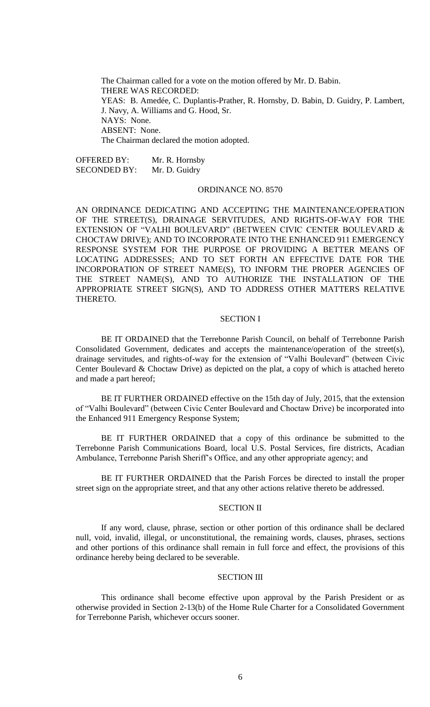The Chairman called for a vote on the motion offered by Mr. D. Babin. THERE WAS RECORDED: YEAS: B. Amedée, C. Duplantis-Prather, R. Hornsby, D. Babin, D. Guidry, P. Lambert, J. Navy, A. Williams and G. Hood, Sr. NAYS: None. ABSENT: None. The Chairman declared the motion adopted.

OFFERED BY: Mr. R. Hornsby SECONDED BY: Mr. D. Guidry

## ORDINANCE NO. 8570

AN ORDINANCE DEDICATING AND ACCEPTING THE MAINTENANCE/OPERATION OF THE STREET(S), DRAINAGE SERVITUDES, AND RIGHTS-OF-WAY FOR THE EXTENSION OF "VALHI BOULEVARD" (BETWEEN CIVIC CENTER BOULEVARD & CHOCTAW DRIVE); AND TO INCORPORATE INTO THE ENHANCED 911 EMERGENCY RESPONSE SYSTEM FOR THE PURPOSE OF PROVIDING A BETTER MEANS OF LOCATING ADDRESSES; AND TO SET FORTH AN EFFECTIVE DATE FOR THE INCORPORATION OF STREET NAME(S), TO INFORM THE PROPER AGENCIES OF THE STREET NAME(S), AND TO AUTHORIZE THE INSTALLATION OF THE APPROPRIATE STREET SIGN(S), AND TO ADDRESS OTHER MATTERS RELATIVE THERETO.

### SECTION I

BE IT ORDAINED that the Terrebonne Parish Council, on behalf of Terrebonne Parish Consolidated Government, dedicates and accepts the maintenance/operation of the street(s), drainage servitudes, and rights-of-way for the extension of "Valhi Boulevard" (between Civic Center Boulevard & Choctaw Drive) as depicted on the plat, a copy of which is attached hereto and made a part hereof;

BE IT FURTHER ORDAINED effective on the 15th day of July, 2015, that the extension of "Valhi Boulevard" (between Civic Center Boulevard and Choctaw Drive) be incorporated into the Enhanced 911 Emergency Response System;

BE IT FURTHER ORDAINED that a copy of this ordinance be submitted to the Terrebonne Parish Communications Board, local U.S. Postal Services, fire districts, Acadian Ambulance, Terrebonne Parish Sheriff's Office, and any other appropriate agency; and

BE IT FURTHER ORDAINED that the Parish Forces be directed to install the proper street sign on the appropriate street, and that any other actions relative thereto be addressed.

## SECTION II

If any word, clause, phrase, section or other portion of this ordinance shall be declared null, void, invalid, illegal, or unconstitutional, the remaining words, clauses, phrases, sections and other portions of this ordinance shall remain in full force and effect, the provisions of this ordinance hereby being declared to be severable.

#### SECTION III

This ordinance shall become effective upon approval by the Parish President or as otherwise provided in Section 2-13(b) of the Home Rule Charter for a Consolidated Government for Terrebonne Parish, whichever occurs sooner.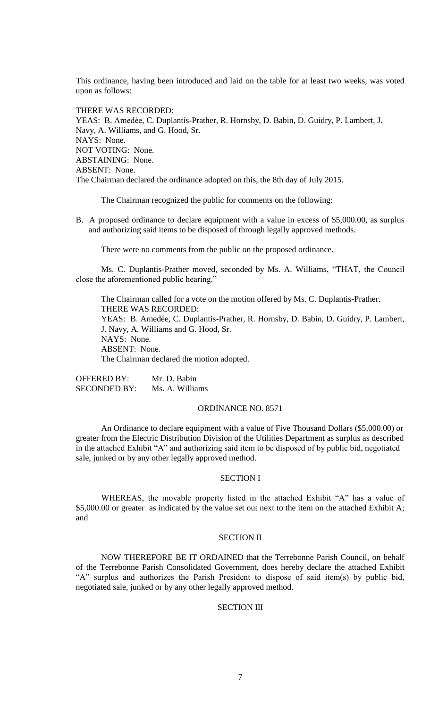This ordinance, having been introduced and laid on the table for at least two weeks, was voted upon as follows:

THERE WAS RECORDED: YEAS: B. Amedẻe, C. Duplantis-Prather, R. Hornsby, D. Babin, D. Guidry, P. Lambert, J. Navy, A. Williams, and G. Hood, Sr. NAYS: None. NOT VOTING: None. ABSTAINING: None. ABSENT: None. The Chairman declared the ordinance adopted on this, the 8th day of July 2015.

The Chairman recognized the public for comments on the following:

B. A proposed ordinance to declare equipment with a value in excess of \$5,000.00, as surplus and authorizing said items to be disposed of through legally approved methods.

There were no comments from the public on the proposed ordinance.

Ms. C. Duplantis-Prather moved, seconded by Ms. A. Williams, "THAT, the Council close the aforementioned public hearing."

The Chairman called for a vote on the motion offered by Ms. C. Duplantis-Prather. THERE WAS RECORDED: YEAS: B. Amedée, C. Duplantis-Prather, R. Hornsby, D. Babin, D. Guidry, P. Lambert, J. Navy, A. Williams and G. Hood, Sr. NAYS: None. ABSENT: None. The Chairman declared the motion adopted.

OFFERED BY: Mr. D. Babin SECONDED BY: Ms. A. Williams

### ORDINANCE NO. 8571

An Ordinance to declare equipment with a value of Five Thousand Dollars (\$5,000.00) or greater from the Electric Distribution Division of the Utilities Department as surplus as described in the attached Exhibit "A" and authorizing said item to be disposed of by public bid, negotiated sale, junked or by any other legally approved method.

#### SECTION I

WHEREAS, the movable property listed in the attached Exhibit "A" has a value of \$5,000.00 or greater as indicated by the value set out next to the item on the attached Exhibit A; and

#### SECTION II

NOW THEREFORE BE IT ORDAINED that the Terrebonne Parish Council, on behalf of the Terrebonne Parish Consolidated Government, does hereby declare the attached Exhibit "A" surplus and authorizes the Parish President to dispose of said item(s) by public bid, negotiated sale, junked or by any other legally approved method.

### SECTION III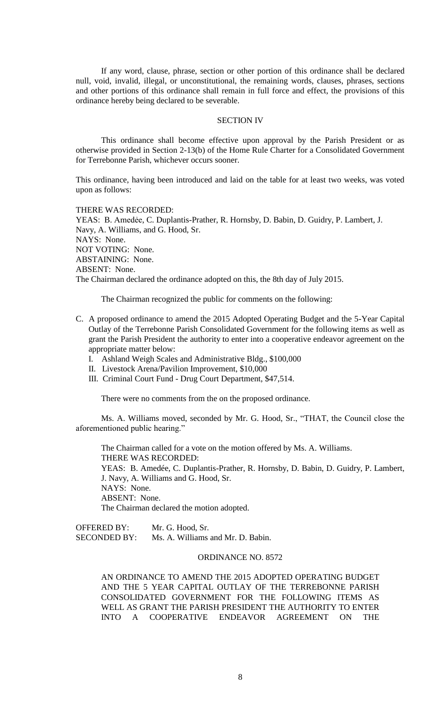If any word, clause, phrase, section or other portion of this ordinance shall be declared null, void, invalid, illegal, or unconstitutional, the remaining words, clauses, phrases, sections and other portions of this ordinance shall remain in full force and effect, the provisions of this ordinance hereby being declared to be severable.

### SECTION IV

This ordinance shall become effective upon approval by the Parish President or as otherwise provided in Section 2-13(b) of the Home Rule Charter for a Consolidated Government for Terrebonne Parish, whichever occurs sooner.

This ordinance, having been introduced and laid on the table for at least two weeks, was voted upon as follows:

THERE WAS RECORDED:

YEAS: B. Amedẻe, C. Duplantis-Prather, R. Hornsby, D. Babin, D. Guidry, P. Lambert, J. Navy, A. Williams, and G. Hood, Sr. NAYS: None. NOT VOTING: None. ABSTAINING: None. ABSENT: None. The Chairman declared the ordinance adopted on this, the 8th day of July 2015.

The Chairman recognized the public for comments on the following:

- C. A proposed ordinance to amend the 2015 Adopted Operating Budget and the 5-Year Capital Outlay of the Terrebonne Parish Consolidated Government for the following items as well as grant the Parish President the authority to enter into a cooperative endeavor agreement on the appropriate matter below:
	- I. Ashland Weigh Scales and Administrative Bldg., \$100,000
	- II. Livestock Arena/Pavilion Improvement, \$10,000
	- III. Criminal Court Fund Drug Court Department, \$47,514.

There were no comments from the on the proposed ordinance.

Ms. A. Williams moved, seconded by Mr. G. Hood, Sr., "THAT, the Council close the aforementioned public hearing."

The Chairman called for a vote on the motion offered by Ms. A. Williams. THERE WAS RECORDED:

YEAS: B. Amedée, C. Duplantis-Prather, R. Hornsby, D. Babin, D. Guidry, P. Lambert, J. Navy, A. Williams and G. Hood, Sr. NAYS: None. ABSENT: None. The Chairman declared the motion adopted.

OFFERED BY: Mr. G. Hood, Sr. SECONDED BY: Ms. A. Williams and Mr. D. Babin.

# ORDINANCE NO. 8572

AN ORDINANCE TO AMEND THE 2015 ADOPTED OPERATING BUDGET AND THE 5 YEAR CAPITAL OUTLAY OF THE TERREBONNE PARISH CONSOLIDATED GOVERNMENT FOR THE FOLLOWING ITEMS AS WELL AS GRANT THE PARISH PRESIDENT THE AUTHORITY TO ENTER INTO A COOPERATIVE ENDEAVOR AGREEMENT ON THE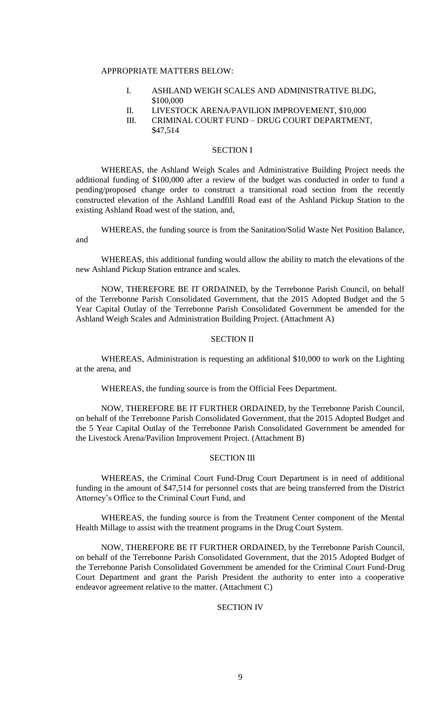### APPROPRIATE MATTERS BELOW:

- I. ASHLAND WEIGH SCALES AND ADMINISTRATIVE BLDG, \$100,000
- II. LIVESTOCK ARENA/PAVILION IMPROVEMENT, \$10,000
- III. CRIMINAL COURT FUND DRUG COURT DEPARTMENT, \$47,514

## SECTION I

WHEREAS, the Ashland Weigh Scales and Administrative Building Project needs the additional funding of \$100,000 after a review of the budget was conducted in order to fund a pending/proposed change order to construct a transitional road section from the recently constructed elevation of the Ashland Landfill Road east of the Ashland Pickup Station to the existing Ashland Road west of the station, and,

WHEREAS, the funding source is from the Sanitation/Solid Waste Net Position Balance, and

WHEREAS, this additional funding would allow the ability to match the elevations of the new Ashland Pickup Station entrance and scales.

NOW, THEREFORE BE IT ORDAINED, by the Terrebonne Parish Council, on behalf of the Terrebonne Parish Consolidated Government, that the 2015 Adopted Budget and the 5 Year Capital Outlay of the Terrebonne Parish Consolidated Government be amended for the Ashland Weigh Scales and Administration Building Project. (Attachment A)

## SECTION II

WHEREAS, Administration is requesting an additional \$10,000 to work on the Lighting at the arena, and

WHEREAS, the funding source is from the Official Fees Department.

NOW, THEREFORE BE IT FURTHER ORDAINED, by the Terrebonne Parish Council, on behalf of the Terrebonne Parish Consolidated Government, that the 2015 Adopted Budget and the 5 Year Capital Outlay of the Terrebonne Parish Consolidated Government be amended for the Livestock Arena/Pavilion Improvement Project. (Attachment B)

## SECTION III

WHEREAS, the Criminal Court Fund-Drug Court Department is in need of additional funding in the amount of \$47,514 for personnel costs that are being transferred from the District Attorney's Office to the Criminal Court Fund, and

WHEREAS, the funding source is from the Treatment Center component of the Mental Health Millage to assist with the treatment programs in the Drug Court System.

NOW, THEREFORE BE IT FURTHER ORDAINED, by the Terrebonne Parish Council, on behalf of the Terrebonne Parish Consolidated Government, that the 2015 Adopted Budget of the Terrebonne Parish Consolidated Government be amended for the Criminal Court Fund-Drug Court Department and grant the Parish President the authority to enter into a cooperative endeavor agreement relative to the matter. (Attachment C)

# SECTION IV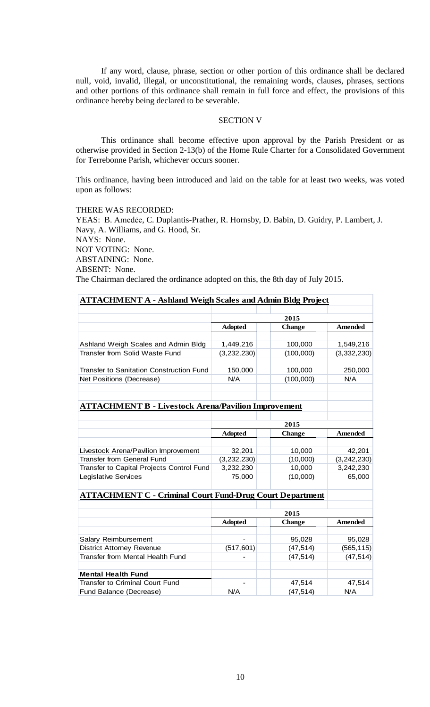If any word, clause, phrase, section or other portion of this ordinance shall be declared null, void, invalid, illegal, or unconstitutional, the remaining words, clauses, phrases, sections and other portions of this ordinance shall remain in full force and effect, the provisions of this ordinance hereby being declared to be severable.

### SECTION V

This ordinance shall become effective upon approval by the Parish President or as otherwise provided in Section 2-13(b) of the Home Rule Charter for a Consolidated Government for Terrebonne Parish, whichever occurs sooner.

This ordinance, having been introduced and laid on the table for at least two weeks, was voted upon as follows:

THERE WAS RECORDED:

YEAS: B. Amedée, C. Duplantis-Prather, R. Hornsby, D. Babin, D. Guidry, P. Lambert, J. Navy, A. Williams, and G. Hood, Sr. NAYS: None. NOT VOTING: None. ABSTAINING: None. ABSENT: None. The Chairman declared the ordinance adopted on this, the 8th day of July 2015.

| <b>ATTACHMENT A - Ashland Weigh Scales and Admin Bldg Project</b> |                |               |                |  |  |
|-------------------------------------------------------------------|----------------|---------------|----------------|--|--|
|                                                                   |                |               |                |  |  |
|                                                                   | 2015           |               |                |  |  |
|                                                                   | <b>Adopted</b> | <b>Change</b> | <b>Amended</b> |  |  |
|                                                                   |                |               |                |  |  |
| Ashland Weigh Scales and Admin Bldg                               | 1,449,216      | 100,000       | 1,549,216      |  |  |
| Transfer from Solid Waste Fund                                    | (3,232,230)    | (100,000)     | (3, 332, 230)  |  |  |
| <b>Transfer to Sanitation Construction Fund</b>                   | 150,000        | 100,000       | 250,000        |  |  |
| Net Positions (Decrease)                                          | N/A            | (100,000)     | N/A            |  |  |
|                                                                   |                |               |                |  |  |
| <b>ATTACHMENT B - Livestock Arena/Pavilion Improvement</b>        |                |               |                |  |  |
|                                                                   |                |               |                |  |  |
|                                                                   | 2015           |               |                |  |  |
|                                                                   | <b>Adopted</b> | <b>Change</b> | <b>Amended</b> |  |  |
|                                                                   |                |               |                |  |  |
| Livestock Arena/Pavilion Improvement                              | 32,201         | 10,000        | 42,201         |  |  |
| <b>Transfer from General Fund</b>                                 | (3,232,230)    | (10,000)      | (3, 242, 230)  |  |  |
| Transfer to Capital Projects Control Fund                         | 3,232,230      | 10,000        | 3,242,230      |  |  |
| <b>Legislative Services</b>                                       | 75,000         | (10,000)      | 65,000         |  |  |
| <b>ATTACHMENT C - Criminal Court Fund-Drug Court Department</b>   |                |               |                |  |  |
|                                                                   | 2015           |               |                |  |  |
|                                                                   | <b>Adopted</b> | <b>Change</b> | <b>Amended</b> |  |  |
|                                                                   |                |               |                |  |  |
| Salary Reimbursement                                              |                | 95,028        | 95,028         |  |  |
| <b>District Attorney Revenue</b>                                  | (517, 601)     | (47, 514)     | (565, 115)     |  |  |
| Transfer from Mental Health Fund                                  |                | (47, 514)     | (47, 514)      |  |  |
| <b>Mental Health Fund</b>                                         |                |               |                |  |  |
| <b>Transfer to Criminal Court Fund</b>                            |                | 47,514        | 47,514         |  |  |
| Fund Balance (Decrease)                                           | N/A            | (47, 514)     | N/A            |  |  |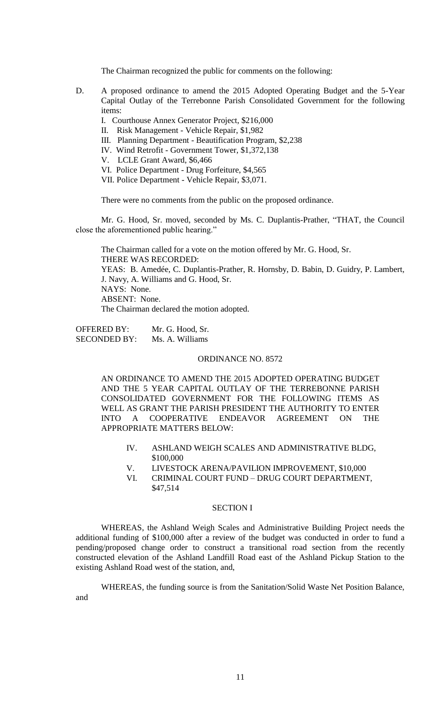The Chairman recognized the public for comments on the following:

- D. A proposed ordinance to amend the 2015 Adopted Operating Budget and the 5-Year Capital Outlay of the Terrebonne Parish Consolidated Government for the following items:
	- I. Courthouse Annex Generator Project, \$216,000
	- II. Risk Management Vehicle Repair, \$1,982
	- III. Planning Department Beautification Program, \$2,238
	- IV. Wind Retrofit Government Tower, \$1,372,138
	- V. LCLE Grant Award, \$6,466
	- VI. Police Department Drug Forfeiture, \$4,565
	- VII. Police Department Vehicle Repair, \$3,071.

There were no comments from the public on the proposed ordinance.

Mr. G. Hood, Sr. moved, seconded by Ms. C. Duplantis-Prather, "THAT, the Council close the aforementioned public hearing."

The Chairman called for a vote on the motion offered by Mr. G. Hood, Sr. THERE WAS RECORDED: YEAS: B. Amedée, C. Duplantis-Prather, R. Hornsby, D. Babin, D. Guidry, P. Lambert, J. Navy, A. Williams and G. Hood, Sr. NAYS: None. ABSENT: None. The Chairman declared the motion adopted.

OFFERED BY: Mr. G. Hood, Sr. SECONDED BY: Ms. A. Williams

### ORDINANCE NO. 8572

AN ORDINANCE TO AMEND THE 2015 ADOPTED OPERATING BUDGET AND THE 5 YEAR CAPITAL OUTLAY OF THE TERREBONNE PARISH CONSOLIDATED GOVERNMENT FOR THE FOLLOWING ITEMS AS WELL AS GRANT THE PARISH PRESIDENT THE AUTHORITY TO ENTER INTO A COOPERATIVE ENDEAVOR AGREEMENT ON THE APPROPRIATE MATTERS BELOW:

- IV. ASHLAND WEIGH SCALES AND ADMINISTRATIVE BLDG, \$100,000
- V. LIVESTOCK ARENA/PAVILION IMPROVEMENT, \$10,000
- VI. CRIMINAL COURT FUND DRUG COURT DEPARTMENT, \$47,514

## SECTION I

WHEREAS, the Ashland Weigh Scales and Administrative Building Project needs the additional funding of \$100,000 after a review of the budget was conducted in order to fund a pending/proposed change order to construct a transitional road section from the recently constructed elevation of the Ashland Landfill Road east of the Ashland Pickup Station to the existing Ashland Road west of the station, and,

WHEREAS, the funding source is from the Sanitation/Solid Waste Net Position Balance, and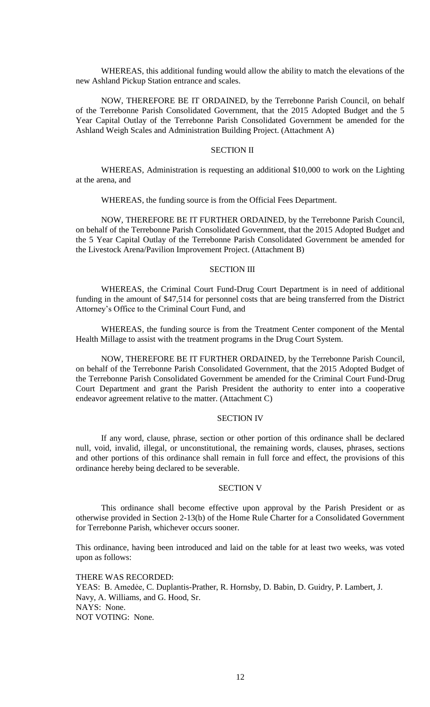WHEREAS, this additional funding would allow the ability to match the elevations of the new Ashland Pickup Station entrance and scales.

NOW, THEREFORE BE IT ORDAINED, by the Terrebonne Parish Council, on behalf of the Terrebonne Parish Consolidated Government, that the 2015 Adopted Budget and the 5 Year Capital Outlay of the Terrebonne Parish Consolidated Government be amended for the Ashland Weigh Scales and Administration Building Project. (Attachment A)

## SECTION II

WHEREAS, Administration is requesting an additional \$10,000 to work on the Lighting at the arena, and

WHEREAS, the funding source is from the Official Fees Department.

NOW, THEREFORE BE IT FURTHER ORDAINED, by the Terrebonne Parish Council, on behalf of the Terrebonne Parish Consolidated Government, that the 2015 Adopted Budget and the 5 Year Capital Outlay of the Terrebonne Parish Consolidated Government be amended for the Livestock Arena/Pavilion Improvement Project. (Attachment B)

#### SECTION III

WHEREAS, the Criminal Court Fund-Drug Court Department is in need of additional funding in the amount of \$47,514 for personnel costs that are being transferred from the District Attorney's Office to the Criminal Court Fund, and

WHEREAS, the funding source is from the Treatment Center component of the Mental Health Millage to assist with the treatment programs in the Drug Court System.

NOW, THEREFORE BE IT FURTHER ORDAINED, by the Terrebonne Parish Council, on behalf of the Terrebonne Parish Consolidated Government, that the 2015 Adopted Budget of the Terrebonne Parish Consolidated Government be amended for the Criminal Court Fund-Drug Court Department and grant the Parish President the authority to enter into a cooperative endeavor agreement relative to the matter. (Attachment C)

### SECTION IV

If any word, clause, phrase, section or other portion of this ordinance shall be declared null, void, invalid, illegal, or unconstitutional, the remaining words, clauses, phrases, sections and other portions of this ordinance shall remain in full force and effect, the provisions of this ordinance hereby being declared to be severable.

#### SECTION V

This ordinance shall become effective upon approval by the Parish President or as otherwise provided in Section 2-13(b) of the Home Rule Charter for a Consolidated Government for Terrebonne Parish, whichever occurs sooner.

This ordinance, having been introduced and laid on the table for at least two weeks, was voted upon as follows:

THERE WAS RECORDED: YEAS: B. Amedẻe, C. Duplantis-Prather, R. Hornsby, D. Babin, D. Guidry, P. Lambert, J. Navy, A. Williams, and G. Hood, Sr. NAYS: None. NOT VOTING: None.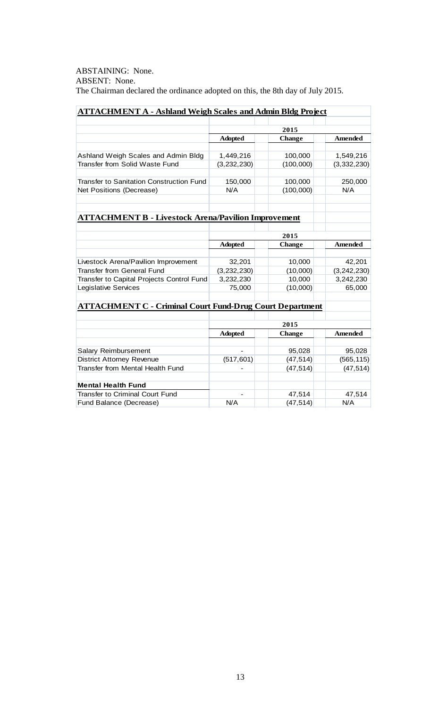ABSTAINING: None. ABSENT: None. The Chairman declared the ordinance adopted on this, the 8th day of July 2015.

| <b>ATTACHMENT A - Ashland Weigh Scales and Admin Bldg Project</b> |                |               |                |  |  |
|-------------------------------------------------------------------|----------------|---------------|----------------|--|--|
|                                                                   |                |               |                |  |  |
|                                                                   | 2015           |               |                |  |  |
|                                                                   | <b>Adopted</b> | <b>Change</b> | <b>Amended</b> |  |  |
|                                                                   |                |               |                |  |  |
| Ashland Weigh Scales and Admin Bldg                               | 1,449,216      | 100,000       | 1,549,216      |  |  |
| Transfer from Solid Waste Fund                                    | (3,232,230)    | (100,000)     | (3,332,230)    |  |  |
| <b>Transfer to Sanitation Construction Fund</b>                   | 150,000        | 100,000       | 250,000        |  |  |
| Net Positions (Decrease)                                          | N/A            | (100, 000)    | N/A            |  |  |
|                                                                   |                |               |                |  |  |
| <b>ATTACHMENT B - Livestock Arena/Pavilion Improvement</b>        |                |               |                |  |  |
|                                                                   |                |               |                |  |  |
|                                                                   | 2015           |               |                |  |  |
|                                                                   | <b>Adopted</b> | <b>Change</b> | <b>Amended</b> |  |  |
| Livestock Arena/Pavilion Improvement                              | 32,201         | 10,000        | 42,201         |  |  |
| Transfer from General Fund                                        | (3, 232, 230)  | (10,000)      | (3, 242, 230)  |  |  |
| Transfer to Capital Projects Control Fund                         | 3,232,230      | 10,000        | 3,242,230      |  |  |
| Legislative Services                                              | 75,000         | (10,000)      | 65,000         |  |  |
|                                                                   |                |               |                |  |  |
| <b>ATTACHMENT C - Criminal Court Fund-Drug Court Department</b>   |                |               |                |  |  |
|                                                                   |                |               |                |  |  |
|                                                                   | 2015           |               |                |  |  |
|                                                                   | <b>Adopted</b> | <b>Change</b> | <b>Amended</b> |  |  |
|                                                                   |                |               |                |  |  |
| Salary Reimbursement                                              |                | 95,028        | 95,028         |  |  |
| <b>District Attorney Revenue</b>                                  | (517, 601)     | (47, 514)     | (565, 115)     |  |  |
| Transfer from Mental Health Fund                                  |                | (47, 514)     | (47, 514)      |  |  |
| <b>Mental Health Fund</b>                                         |                |               |                |  |  |
| <b>Transfer to Criminal Court Fund</b>                            |                | 47,514        | 47,514         |  |  |
| Fund Balance (Decrease)                                           | N/A            | (47, 514)     | N/A            |  |  |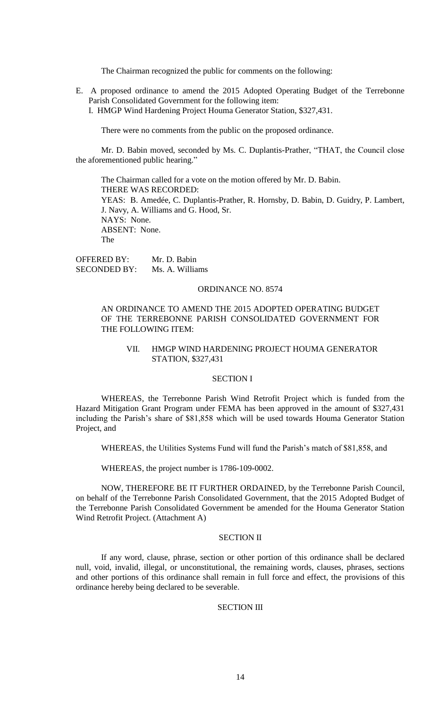The Chairman recognized the public for comments on the following:

E. A proposed ordinance to amend the 2015 Adopted Operating Budget of the Terrebonne Parish Consolidated Government for the following item: I. HMGP Wind Hardening Project Houma Generator Station, \$327,431.

There were no comments from the public on the proposed ordinance.

Mr. D. Babin moved, seconded by Ms. C. Duplantis-Prather, "THAT, the Council close the aforementioned public hearing."

The Chairman called for a vote on the motion offered by Mr. D. Babin. THERE WAS RECORDED: YEAS: B. Amedée, C. Duplantis-Prather, R. Hornsby, D. Babin, D. Guidry, P. Lambert, J. Navy, A. Williams and G. Hood, Sr. NAYS: None. ABSENT: None. The

OFFERED BY: Mr. D. Babin SECONDED BY: Ms. A. Williams

#### ORDINANCE NO. 8574

## AN ORDINANCE TO AMEND THE 2015 ADOPTED OPERATING BUDGET OF THE TERREBONNE PARISH CONSOLIDATED GOVERNMENT FOR THE FOLLOWING ITEM:

### VII. HMGP WIND HARDENING PROJECT HOUMA GENERATOR STATION, \$327,431

### SECTION I

WHEREAS, the Terrebonne Parish Wind Retrofit Project which is funded from the Hazard Mitigation Grant Program under FEMA has been approved in the amount of \$327,431 including the Parish's share of \$81,858 which will be used towards Houma Generator Station Project, and

WHEREAS, the Utilities Systems Fund will fund the Parish's match of \$81,858, and

WHEREAS, the project number is 1786-109-0002.

NOW, THEREFORE BE IT FURTHER ORDAINED, by the Terrebonne Parish Council, on behalf of the Terrebonne Parish Consolidated Government, that the 2015 Adopted Budget of the Terrebonne Parish Consolidated Government be amended for the Houma Generator Station Wind Retrofit Project. (Attachment A)

#### SECTION II

If any word, clause, phrase, section or other portion of this ordinance shall be declared null, void, invalid, illegal, or unconstitutional, the remaining words, clauses, phrases, sections and other portions of this ordinance shall remain in full force and effect, the provisions of this ordinance hereby being declared to be severable.

## SECTION III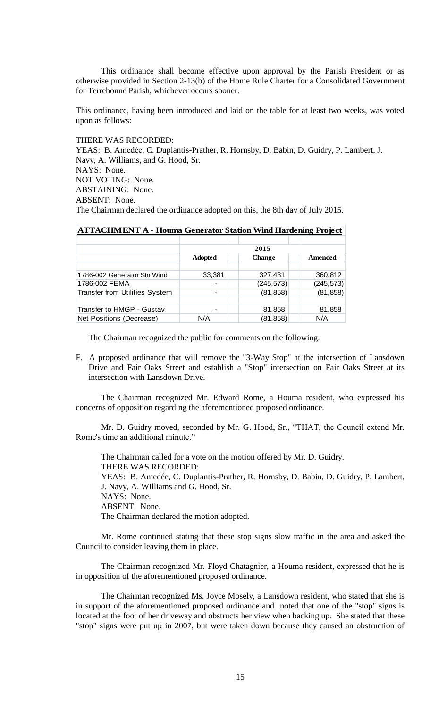This ordinance shall become effective upon approval by the Parish President or as otherwise provided in Section 2-13(b) of the Home Rule Charter for a Consolidated Government for Terrebonne Parish, whichever occurs sooner.

This ordinance, having been introduced and laid on the table for at least two weeks, was voted upon as follows:

THERE WAS RECORDED:

YEAS: B. Amedėe, C. Duplantis-Prather, R. Hornsby, D. Babin, D. Guidry, P. Lambert, J. Navy, A. Williams, and G. Hood, Sr. NAYS: None. NOT VOTING: None. ABSTAINING: None. ABSENT: None. The Chairman declared the ordinance adopted on this, the 8th day of July 2015.

| ATTACHIVIENT A "Tiouna Generator Station" (Vind Hardening Froject) |                |               |            |  |  |
|--------------------------------------------------------------------|----------------|---------------|------------|--|--|
|                                                                    |                |               |            |  |  |
|                                                                    | 2015           |               |            |  |  |
|                                                                    | <b>Adopted</b> | <b>Change</b> | Amended    |  |  |
|                                                                    |                |               |            |  |  |
| 1786-002 Generator Stn Wind                                        | 33,381         | 327,431       | 360,812    |  |  |
| 1786-002 FEMA                                                      |                | (245, 573)    | (245, 573) |  |  |
| <b>Transfer from Utilities System</b>                              |                | (81, 858)     | (81, 858)  |  |  |
|                                                                    |                |               |            |  |  |
| Transfer to HMGP - Gustav                                          |                | 81,858        | 81,858     |  |  |
| Net Positions (Decrease)                                           | N/A            | (81,858)      | N/A        |  |  |

# **ATTACHMENT A - Houma Generator Station Wind Hardening Project**

The Chairman recognized the public for comments on the following:

F. A proposed ordinance that will remove the "3-Way Stop" at the intersection of Lansdown Drive and Fair Oaks Street and establish a "Stop" intersection on Fair Oaks Street at its intersection with Lansdown Drive.

The Chairman recognized Mr. Edward Rome, a Houma resident, who expressed his concerns of opposition regarding the aforementioned proposed ordinance.

Mr. D. Guidry moved, seconded by Mr. G. Hood, Sr., "THAT, the Council extend Mr. Rome's time an additional minute."

The Chairman called for a vote on the motion offered by Mr. D. Guidry. THERE WAS RECORDED: YEAS: B. Amedée, C. Duplantis-Prather, R. Hornsby, D. Babin, D. Guidry, P. Lambert, J. Navy, A. Williams and G. Hood, Sr. NAYS: None. ABSENT: None. The Chairman declared the motion adopted.

Mr. Rome continued stating that these stop signs slow traffic in the area and asked the Council to consider leaving them in place.

The Chairman recognized Mr. Floyd Chatagnier, a Houma resident, expressed that he is in opposition of the aforementioned proposed ordinance.

The Chairman recognized Ms. Joyce Mosely, a Lansdown resident, who stated that she is in support of the aforementioned proposed ordinance and noted that one of the "stop" signs is located at the foot of her driveway and obstructs her view when backing up. She stated that these "stop" signs were put up in 2007, but were taken down because they caused an obstruction of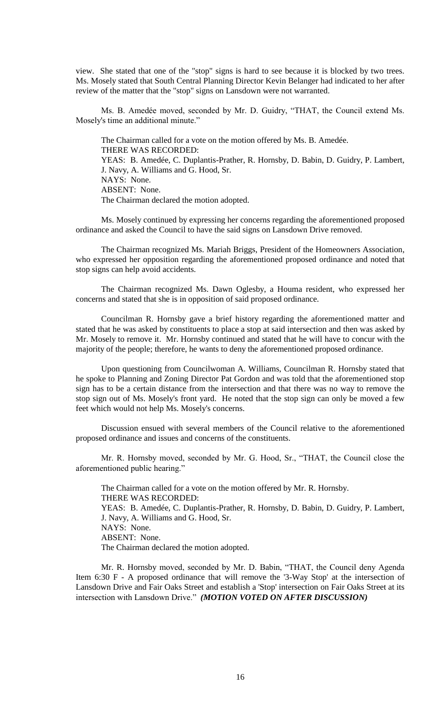view. She stated that one of the "stop" signs is hard to see because it is blocked by two trees. Ms. Mosely stated that South Central Planning Director Kevin Belanger had indicated to her after review of the matter that the "stop" signs on Lansdown were not warranted.

Ms. B. Amedée moved, seconded by Mr. D. Guidry, "THAT, the Council extend Ms. Mosely's time an additional minute."

The Chairman called for a vote on the motion offered by Ms. B. Amedée. THERE WAS RECORDED: YEAS: B. Amedée, C. Duplantis-Prather, R. Hornsby, D. Babin, D. Guidry, P. Lambert, J. Navy, A. Williams and G. Hood, Sr. NAYS: None. ABSENT: None. The Chairman declared the motion adopted.

Ms. Mosely continued by expressing her concerns regarding the aforementioned proposed ordinance and asked the Council to have the said signs on Lansdown Drive removed.

The Chairman recognized Ms. Mariah Briggs, President of the Homeowners Association, who expressed her opposition regarding the aforementioned proposed ordinance and noted that stop signs can help avoid accidents.

The Chairman recognized Ms. Dawn Oglesby, a Houma resident, who expressed her concerns and stated that she is in opposition of said proposed ordinance.

Councilman R. Hornsby gave a brief history regarding the aforementioned matter and stated that he was asked by constituents to place a stop at said intersection and then was asked by Mr. Mosely to remove it. Mr. Hornsby continued and stated that he will have to concur with the majority of the people; therefore, he wants to deny the aforementioned proposed ordinance.

Upon questioning from Councilwoman A. Williams, Councilman R. Hornsby stated that he spoke to Planning and Zoning Director Pat Gordon and was told that the aforementioned stop sign has to be a certain distance from the intersection and that there was no way to remove the stop sign out of Ms. Mosely's front yard. He noted that the stop sign can only be moved a few feet which would not help Ms. Mosely's concerns.

Discussion ensued with several members of the Council relative to the aforementioned proposed ordinance and issues and concerns of the constituents.

Mr. R. Hornsby moved, seconded by Mr. G. Hood, Sr., "THAT, the Council close the aforementioned public hearing."

The Chairman called for a vote on the motion offered by Mr. R. Hornsby. THERE WAS RECORDED: YEAS: B. Amedée, C. Duplantis-Prather, R. Hornsby, D. Babin, D. Guidry, P. Lambert, J. Navy, A. Williams and G. Hood, Sr. NAYS: None. ABSENT: None. The Chairman declared the motion adopted.

Mr. R. Hornsby moved, seconded by Mr. D. Babin, "THAT, the Council deny Agenda Item 6:30 F - A proposed ordinance that will remove the '3-Way Stop' at the intersection of Lansdown Drive and Fair Oaks Street and establish a 'Stop' intersection on Fair Oaks Street at its intersection with Lansdown Drive." *(MOTION VOTED ON AFTER DISCUSSION)*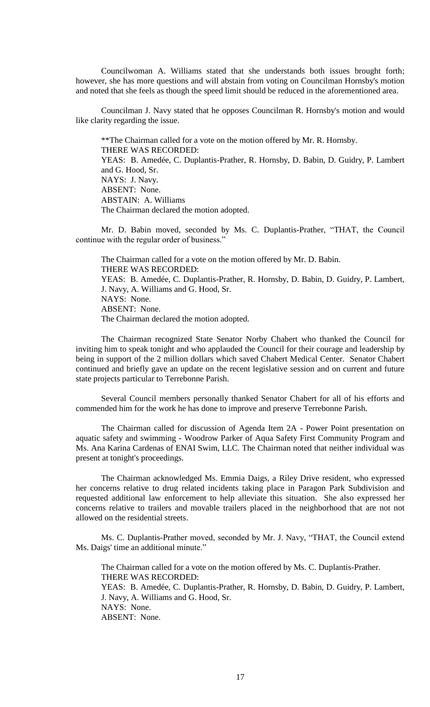Councilwoman A. Williams stated that she understands both issues brought forth; however, she has more questions and will abstain from voting on Councilman Hornsby's motion and noted that she feels as though the speed limit should be reduced in the aforementioned area.

Councilman J. Navy stated that he opposes Councilman R. Hornsby's motion and would like clarity regarding the issue.

\*\*The Chairman called for a vote on the motion offered by Mr. R. Hornsby. THERE WAS RECORDED: YEAS: B. Amedée, C. Duplantis-Prather, R. Hornsby, D. Babin, D. Guidry, P. Lambert and G. Hood, Sr. NAYS: J. Navy. ABSENT: None. ABSTAIN: A. Williams The Chairman declared the motion adopted.

Mr. D. Babin moved, seconded by Ms. C. Duplantis-Prather, "THAT, the Council continue with the regular order of business."

The Chairman called for a vote on the motion offered by Mr. D. Babin. THERE WAS RECORDED: YEAS: B. Amedée, C. Duplantis-Prather, R. Hornsby, D. Babin, D. Guidry, P. Lambert, J. Navy, A. Williams and G. Hood, Sr. NAYS: None. ABSENT: None. The Chairman declared the motion adopted.

The Chairman recognized State Senator Norby Chabert who thanked the Council for inviting him to speak tonight and who applauded the Council for their courage and leadership by being in support of the 2 million dollars which saved Chabert Medical Center. Senator Chabert continued and briefly gave an update on the recent legislative session and on current and future state projects particular to Terrebonne Parish.

Several Council members personally thanked Senator Chabert for all of his efforts and commended him for the work he has done to improve and preserve Terrebonne Parish.

The Chairman called for discussion of Agenda Item 2A - Power Point presentation on aquatic safety and swimming - Woodrow Parker of Aqua Safety First Community Program and Ms. Ana Karina Cardenas of ENAI Swim, LLC. The Chairman noted that neither individual was present at tonight's proceedings.

The Chairman acknowledged Ms. Emmia Daigs, a Riley Drive resident, who expressed her concerns relative to drug related incidents taking place in Paragon Park Subdivision and requested additional law enforcement to help alleviate this situation. She also expressed her concerns relative to trailers and movable trailers placed in the neighborhood that are not not allowed on the residential streets.

Ms. C. Duplantis-Prather moved, seconded by Mr. J. Navy, "THAT, the Council extend Ms. Daigs' time an additional minute."

The Chairman called for a vote on the motion offered by Ms. C. Duplantis-Prather. THERE WAS RECORDED: YEAS: B. Amedée, C. Duplantis-Prather, R. Hornsby, D. Babin, D. Guidry, P. Lambert,

J. Navy, A. Williams and G. Hood, Sr.

NAYS: None.

ABSENT: None.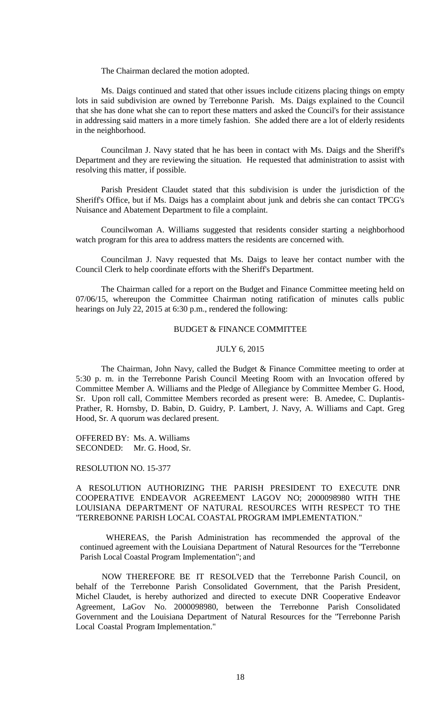The Chairman declared the motion adopted.

Ms. Daigs continued and stated that other issues include citizens placing things on empty lots in said subdivision are owned by Terrebonne Parish. Ms. Daigs explained to the Council that she has done what she can to report these matters and asked the Council's for their assistance in addressing said matters in a more timely fashion. She added there are a lot of elderly residents in the neighborhood.

Councilman J. Navy stated that he has been in contact with Ms. Daigs and the Sheriff's Department and they are reviewing the situation. He requested that administration to assist with resolving this matter, if possible.

Parish President Claudet stated that this subdivision is under the jurisdiction of the Sheriff's Office, but if Ms. Daigs has a complaint about junk and debris she can contact TPCG's Nuisance and Abatement Department to file a complaint.

Councilwoman A. Williams suggested that residents consider starting a neighborhood watch program for this area to address matters the residents are concerned with.

Councilman J. Navy requested that Ms. Daigs to leave her contact number with the Council Clerk to help coordinate efforts with the Sheriff's Department.

The Chairman called for a report on the Budget and Finance Committee meeting held on 07/06/15, whereupon the Committee Chairman noting ratification of minutes calls public hearings on July 22, 2015 at 6:30 p.m., rendered the following:

## BUDGET & FINANCE COMMITTEE

### JULY 6, 2015

The Chairman, John Navy, called the Budget & Finance Committee meeting to order at 5:30 p. m. in the Terrebonne Parish Council Meeting Room with an Invocation offered by Committee Member A. Williams and the Pledge of Allegiance by Committee Member G. Hood, Sr. Upon roll call, Committee Members recorded as present were: B. Amedee, C. Duplantis-Prather, R. Hornsby, D. Babin, D. Guidry, P. Lambert, J. Navy, A. Williams and Capt. Greg Hood, Sr. A quorum was declared present.

OFFERED BY: Ms. A. Williams SECONDED: Mr. G. Hood, Sr.

#### RESOLUTION NO. 15-377

A RESOLUTION AUTHORIZING THE PARISH PRESIDENT TO EXECUTE DNR COOPERATIVE ENDEAVOR AGREEMENT LAGOV NO; 2000098980 WITH THE LOUISIANA DEPARTMENT OF NATURAL RESOURCES WITH RESPECT TO THE "TERREBONNE PARISH LOCAL COASTAL PROGRAM IMPLEMENTATION."

WHEREAS, the Parish Administration has recommended the approval of the continued agreement with the Louisiana Department of Natural Resources for the "Terrebonne Parish Local Coastal Program Implementation"; and

NOW THEREFORE BE IT RESOLVED that the Terrebonne Parish Council, on behalf of the Terrebonne Parish Consolidated Government, that the Parish President, Michel Claudet, is hereby authorized and directed to execute DNR Cooperative Endeavor Agreement, LaGov No. 2000098980, between the Terrebonne Parish Consolidated Government and the Louisiana Department of Natural Resources for the "Terrebonne Parish Local Coastal Program Implementation."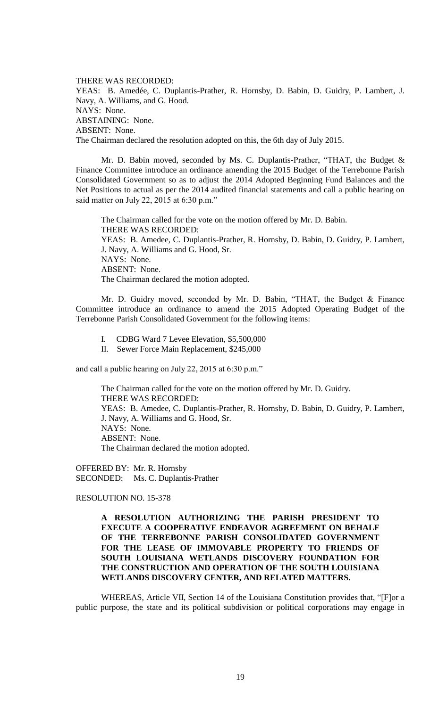THERE WAS RECORDED: YEAS: B. Amedée, C. Duplantis-Prather, R. Hornsby, D. Babin, D. Guidry, P. Lambert, J. Navy, A. Williams, and G. Hood. NAYS: None. ABSTAINING: None. ABSENT: None. The Chairman declared the resolution adopted on this, the 6th day of July 2015.

Mr. D. Babin moved, seconded by Ms. C. Duplantis-Prather, "THAT, the Budget & Finance Committee introduce an ordinance amending the 2015 Budget of the Terrebonne Parish Consolidated Government so as to adjust the 2014 Adopted Beginning Fund Balances and the Net Positions to actual as per the 2014 audited financial statements and call a public hearing on said matter on July 22, 2015 at 6:30 p.m."

The Chairman called for the vote on the motion offered by Mr. D. Babin. THERE WAS RECORDED: YEAS: B. Amedee, C. Duplantis-Prather, R. Hornsby, D. Babin, D. Guidry, P. Lambert, J. Navy, A. Williams and G. Hood, Sr. NAYS: None. ABSENT: None. The Chairman declared the motion adopted.

Mr. D. Guidry moved, seconded by Mr. D. Babin, "THAT, the Budget & Finance Committee introduce an ordinance to amend the 2015 Adopted Operating Budget of the Terrebonne Parish Consolidated Government for the following items:

- I. CDBG Ward 7 Levee Elevation, \$5,500,000
- II. Sewer Force Main Replacement, \$245,000

and call a public hearing on July 22, 2015 at 6:30 p.m."

The Chairman called for the vote on the motion offered by Mr. D. Guidry. THERE WAS RECORDED: YEAS: B. Amedee, C. Duplantis-Prather, R. Hornsby, D. Babin, D. Guidry, P. Lambert, J. Navy, A. Williams and G. Hood, Sr. NAYS: None. ABSENT: None. The Chairman declared the motion adopted.

OFFERED BY: Mr. R. Hornsby SECONDED: Ms. C. Duplantis-Prather

RESOLUTION NO. 15-378

# **A RESOLUTION AUTHORIZING THE PARISH PRESIDENT TO EXECUTE A COOPERATIVE ENDEAVOR AGREEMENT ON BEHALF OF THE TERREBONNE PARISH CONSOLIDATED GOVERNMENT FOR THE LEASE OF IMMOVABLE PROPERTY TO FRIENDS OF SOUTH LOUISIANA WETLANDS DISCOVERY FOUNDATION FOR THE CONSTRUCTION AND OPERATION OF THE SOUTH LOUISIANA WETLANDS DISCOVERY CENTER, AND RELATED MATTERS.**

WHEREAS, Article VII, Section 14 of the Louisiana Constitution provides that, "[F]or a public purpose, the state and its political subdivision or political corporations may engage in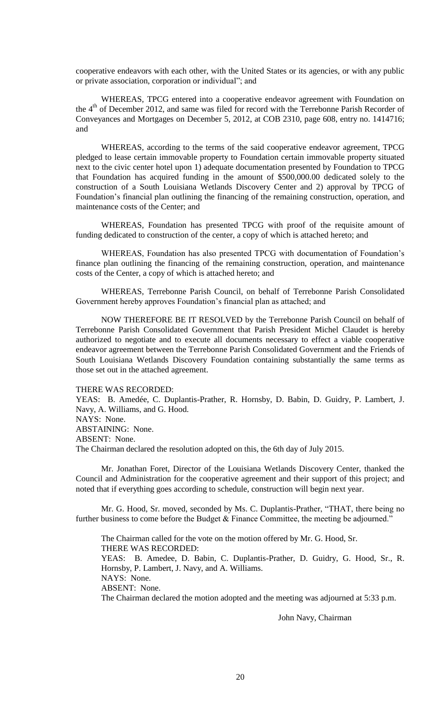cooperative endeavors with each other, with the United States or its agencies, or with any public or private association, corporation or individual"; and

WHEREAS, TPCG entered into a cooperative endeavor agreement with Foundation on the 4<sup>th</sup> of December 2012, and same was filed for record with the Terrebonne Parish Recorder of Conveyances and Mortgages on December 5, 2012, at COB 2310, page 608, entry no. 1414716; and

WHEREAS, according to the terms of the said cooperative endeavor agreement, TPCG pledged to lease certain immovable property to Foundation certain immovable property situated next to the civic center hotel upon 1) adequate documentation presented by Foundation to TPCG that Foundation has acquired funding in the amount of \$500,000.00 dedicated solely to the construction of a South Louisiana Wetlands Discovery Center and 2) approval by TPCG of Foundation's financial plan outlining the financing of the remaining construction, operation, and maintenance costs of the Center; and

WHEREAS, Foundation has presented TPCG with proof of the requisite amount of funding dedicated to construction of the center, a copy of which is attached hereto; and

WHEREAS, Foundation has also presented TPCG with documentation of Foundation's finance plan outlining the financing of the remaining construction, operation, and maintenance costs of the Center, a copy of which is attached hereto; and

WHEREAS, Terrebonne Parish Council, on behalf of Terrebonne Parish Consolidated Government hereby approves Foundation's financial plan as attached; and

NOW THEREFORE BE IT RESOLVED by the Terrebonne Parish Council on behalf of Terrebonne Parish Consolidated Government that Parish President Michel Claudet is hereby authorized to negotiate and to execute all documents necessary to effect a viable cooperative endeavor agreement between the Terrebonne Parish Consolidated Government and the Friends of South Louisiana Wetlands Discovery Foundation containing substantially the same terms as those set out in the attached agreement.

### THERE WAS RECORDED:

YEAS: B. Amedée, C. Duplantis-Prather, R. Hornsby, D. Babin, D. Guidry, P. Lambert, J. Navy, A. Williams, and G. Hood.

# NAYS: None.

ABSTAINING: None.

ABSENT: None.

The Chairman declared the resolution adopted on this, the 6th day of July 2015.

Mr. Jonathan Foret, Director of the Louisiana Wetlands Discovery Center, thanked the Council and Administration for the cooperative agreement and their support of this project; and noted that if everything goes according to schedule, construction will begin next year.

Mr. G. Hood, Sr. moved, seconded by Ms. C. Duplantis-Prather, "THAT, there being no further business to come before the Budget & Finance Committee, the meeting be adjourned."

The Chairman called for the vote on the motion offered by Mr. G. Hood, Sr. THERE WAS RECORDED: YEAS: B. Amedee, D. Babin, C. Duplantis-Prather, D. Guidry, G. Hood, Sr., R. Hornsby, P. Lambert, J. Navy, and A. Williams. NAYS: None. ABSENT: None. The Chairman declared the motion adopted and the meeting was adjourned at 5:33 p.m.

John Navy, Chairman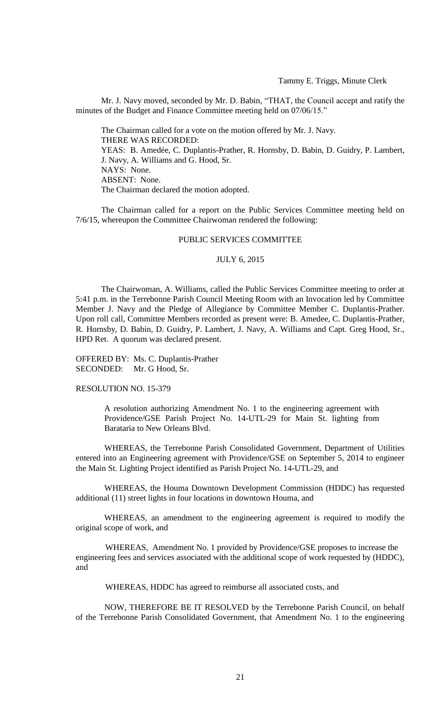Mr. J. Navy moved, seconded by Mr. D. Babin, "THAT, the Council accept and ratify the minutes of the Budget and Finance Committee meeting held on 07/06/15."

The Chairman called for a vote on the motion offered by Mr. J. Navy. THERE WAS RECORDED: YEAS: B. Amedée, C. Duplantis-Prather, R. Hornsby, D. Babin, D. Guidry, P. Lambert, J. Navy, A. Williams and G. Hood, Sr. NAYS: None. ABSENT: None. The Chairman declared the motion adopted.

The Chairman called for a report on the Public Services Committee meeting held on 7/6/15, whereupon the Committee Chairwoman rendered the following:

### PUBLIC SERVICES COMMITTEE

#### JULY 6, 2015

The Chairwoman, A. Williams, called the Public Services Committee meeting to order at 5:41 p.m. in the Terrebonne Parish Council Meeting Room with an Invocation led by Committee Member J. Navy and the Pledge of Allegiance by Committee Member C. Duplantis-Prather. Upon roll call, Committee Members recorded as present were: B. Amedee, C. Duplantis-Prather, R. Hornsby, D. Babin, D. Guidry, P. Lambert, J. Navy, A. Williams and Capt. Greg Hood, Sr., HPD Ret. A quorum was declared present.

OFFERED BY: Ms. C. Duplantis-Prather SECONDED: Mr. G Hood, Sr.

#### RESOLUTION NO. 15-379

A resolution authorizing Amendment No. 1 to the engineering agreement with Providence/GSE Parish Project No. 14-UTL-29 for Main St. lighting from Barataria to New Orleans Blvd.

WHEREAS, the Terrebonne Parish Consolidated Government, Department of Utilities entered into an Engineering agreement with Providence/GSE on September 5, 2014 to engineer the Main St. Lighting Project identified as Parish Project No. 14-UTL-29, and

WHEREAS, the Houma Downtown Development Commission (HDDC) has requested additional (11) street lights in four locations in downtown Houma, and

WHEREAS, an amendment to the engineering agreement is required to modify the original scope of work, and

 WHEREAS, Amendment No. 1 provided by Providence/GSE proposes to increase the engineering fees and services associated with the additional scope of work requested by (HDDC), and

WHEREAS, HDDC has agreed to reimburse all associated costs, and

NOW, THEREFORE BE IT RESOLVED by the Terrebonne Parish Council, on behalf of the Terrebonne Parish Consolidated Government, that Amendment No. 1 to the engineering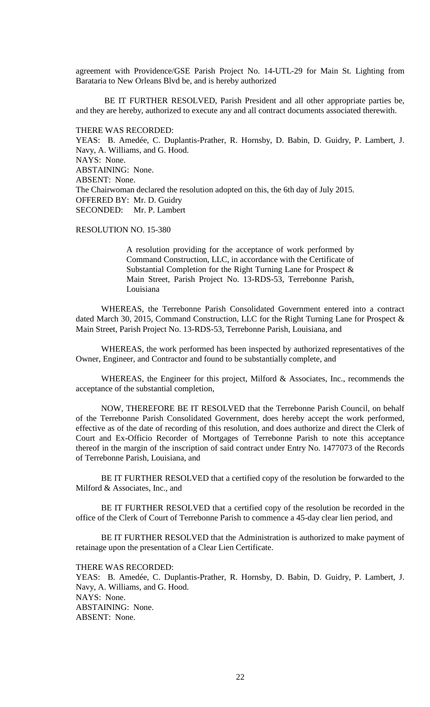agreement with Providence/GSE Parish Project No. 14-UTL-29 for Main St. Lighting from Barataria to New Orleans Blvd be, and is hereby authorized

BE IT FURTHER RESOLVED, Parish President and all other appropriate parties be, and they are hereby, authorized to execute any and all contract documents associated therewith.

THERE WAS RECORDED: YEAS: B. Amedée, C. Duplantis-Prather, R. Hornsby, D. Babin, D. Guidry, P. Lambert, J. Navy, A. Williams, and G. Hood. NAYS: None. ABSTAINING: None. ABSENT: None. The Chairwoman declared the resolution adopted on this, the 6th day of July 2015. OFFERED BY: Mr. D. Guidry SECONDED: Mr. P. Lambert

## RESOLUTION NO. 15-380

A resolution providing for the acceptance of work performed by Command Construction, LLC, in accordance with the Certificate of Substantial Completion for the Right Turning Lane for Prospect & Main Street, Parish Project No. 13-RDS-53, Terrebonne Parish, Louisiana

WHEREAS, the Terrebonne Parish Consolidated Government entered into a contract dated March 30, 2015, Command Construction, LLC for the Right Turning Lane for Prospect & Main Street, Parish Project No. 13-RDS-53, Terrebonne Parish, Louisiana, and

WHEREAS, the work performed has been inspected by authorized representatives of the Owner, Engineer, and Contractor and found to be substantially complete, and

WHEREAS, the Engineer for this project, Milford & Associates, Inc., recommends the acceptance of the substantial completion,

NOW, THEREFORE BE IT RESOLVED that the Terrebonne Parish Council, on behalf of the Terrebonne Parish Consolidated Government, does hereby accept the work performed, effective as of the date of recording of this resolution, and does authorize and direct the Clerk of Court and Ex-Officio Recorder of Mortgages of Terrebonne Parish to note this acceptance thereof in the margin of the inscription of said contract under Entry No. 1477073 of the Records of Terrebonne Parish, Louisiana, and

BE IT FURTHER RESOLVED that a certified copy of the resolution be forwarded to the Milford & Associates, Inc., and

BE IT FURTHER RESOLVED that a certified copy of the resolution be recorded in the office of the Clerk of Court of Terrebonne Parish to commence a 45-day clear lien period, and

BE IT FURTHER RESOLVED that the Administration is authorized to make payment of retainage upon the presentation of a Clear Lien Certificate.

THERE WAS RECORDED:

YEAS: B. Amedée, C. Duplantis-Prather, R. Hornsby, D. Babin, D. Guidry, P. Lambert, J. Navy, A. Williams, and G. Hood. NAYS: None. ABSTAINING: None. ABSENT: None.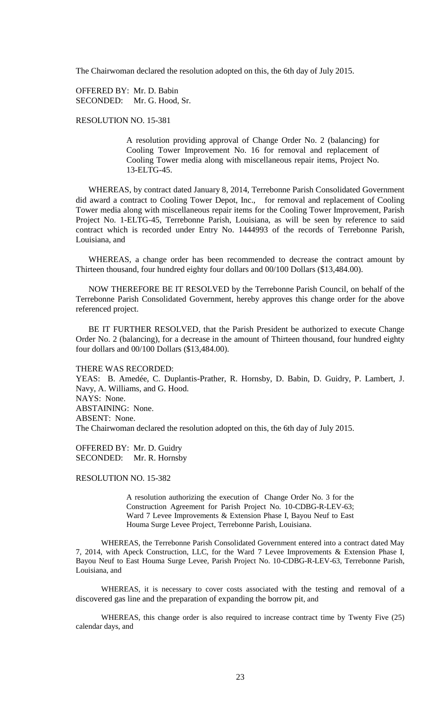The Chairwoman declared the resolution adopted on this, the 6th day of July 2015.

OFFERED BY: Mr. D. Babin SECONDED: Mr. G. Hood, Sr.

RESOLUTION NO. 15-381

A resolution providing approval of Change Order No. 2 (balancing) for Cooling Tower Improvement No. 16 for removal and replacement of Cooling Tower media along with miscellaneous repair items, Project No. 13-ELTG-45.

WHEREAS, by contract dated January 8, 2014, Terrebonne Parish Consolidated Government did award a contract to Cooling Tower Depot, Inc., for removal and replacement of Cooling Tower media along with miscellaneous repair items for the Cooling Tower Improvement, Parish Project No. 1-ELTG-45, Terrebonne Parish, Louisiana, as will be seen by reference to said contract which is recorded under Entry No. 1444993 of the records of Terrebonne Parish, Louisiana, and

WHEREAS, a change order has been recommended to decrease the contract amount by Thirteen thousand, four hundred eighty four dollars and 00/100 Dollars (\$13,484.00).

NOW THEREFORE BE IT RESOLVED by the Terrebonne Parish Council, on behalf of the Terrebonne Parish Consolidated Government, hereby approves this change order for the above referenced project.

BE IT FURTHER RESOLVED, that the Parish President be authorized to execute Change Order No. 2 (balancing), for a decrease in the amount of Thirteen thousand, four hundred eighty four dollars and 00/100 Dollars (\$13,484.00).

THERE WAS RECORDED:

YEAS: B. Amedée, C. Duplantis-Prather, R. Hornsby, D. Babin, D. Guidry, P. Lambert, J. Navy, A. Williams, and G. Hood. NAYS: None. ABSTAINING: None. ABSENT: None. The Chairwoman declared the resolution adopted on this, the 6th day of July 2015.

OFFERED BY: Mr. D. Guidry SECONDED: Mr. R. Hornsby

RESOLUTION NO. 15-382

A resolution authorizing the execution of Change Order No. 3 for the Construction Agreement for Parish Project No. 10-CDBG-R-LEV-63; Ward 7 Levee Improvements & Extension Phase I, Bayou Neuf to East Houma Surge Levee Project, Terrebonne Parish, Louisiana.

WHEREAS, the Terrebonne Parish Consolidated Government entered into a contract dated May 7, 2014, with Apeck Construction, LLC, for the Ward 7 Levee Improvements & Extension Phase I, Bayou Neuf to East Houma Surge Levee, Parish Project No. 10-CDBG-R-LEV-63, Terrebonne Parish, Louisiana, and

WHEREAS, it is necessary to cover costs associated with the testing and removal of a discovered gas line and the preparation of expanding the borrow pit, and

WHEREAS, this change order is also required to increase contract time by Twenty Five (25) calendar days, and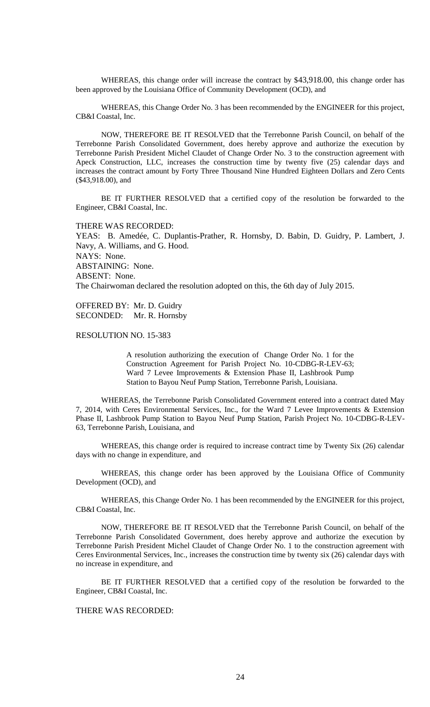WHEREAS, this change order will increase the contract by \$43,918.00, this change order has been approved by the Louisiana Office of Community Development (OCD), and

WHEREAS, this Change Order No. 3 has been recommended by the ENGINEER for this project, CB&I Coastal, Inc.

NOW, THEREFORE BE IT RESOLVED that the Terrebonne Parish Council, on behalf of the Terrebonne Parish Consolidated Government, does hereby approve and authorize the execution by Terrebonne Parish President Michel Claudet of Change Order No. 3 to the construction agreement with Apeck Construction, LLC, increases the construction time by twenty five (25) calendar days and increases the contract amount by Forty Three Thousand Nine Hundred Eighteen Dollars and Zero Cents (\$43,918.00), and

BE IT FURTHER RESOLVED that a certified copy of the resolution be forwarded to the Engineer, CB&I Coastal, Inc.

THERE WAS RECORDED:

YEAS: B. Amedée, C. Duplantis-Prather, R. Hornsby, D. Babin, D. Guidry, P. Lambert, J. Navy, A. Williams, and G. Hood. NAYS: None. ABSTAINING: None. ABSENT: None. The Chairwoman declared the resolution adopted on this, the 6th day of July 2015.

OFFERED BY: Mr. D. Guidry SECONDED: Mr. R. Hornsby

### RESOLUTION NO. 15-383

A resolution authorizing the execution of Change Order No. 1 for the Construction Agreement for Parish Project No. 10-CDBG-R-LEV-63; Ward 7 Levee Improvements & Extension Phase II, Lashbrook Pump Station to Bayou Neuf Pump Station, Terrebonne Parish, Louisiana.

WHEREAS, the Terrebonne Parish Consolidated Government entered into a contract dated May 7, 2014, with Ceres Environmental Services, Inc., for the Ward 7 Levee Improvements & Extension Phase II, Lashbrook Pump Station to Bayou Neuf Pump Station, Parish Project No. 10-CDBG-R-LEV-63, Terrebonne Parish, Louisiana, and

WHEREAS, this change order is required to increase contract time by Twenty Six (26) calendar days with no change in expenditure, and

WHEREAS, this change order has been approved by the Louisiana Office of Community Development (OCD), and

WHEREAS, this Change Order No. 1 has been recommended by the ENGINEER for this project, CB&I Coastal, Inc.

NOW, THEREFORE BE IT RESOLVED that the Terrebonne Parish Council, on behalf of the Terrebonne Parish Consolidated Government, does hereby approve and authorize the execution by Terrebonne Parish President Michel Claudet of Change Order No. 1 to the construction agreement with Ceres Environmental Services, Inc., increases the construction time by twenty six (26) calendar days with no increase in expenditure, and

BE IT FURTHER RESOLVED that a certified copy of the resolution be forwarded to the Engineer, CB&I Coastal, Inc.

### THERE WAS RECORDED: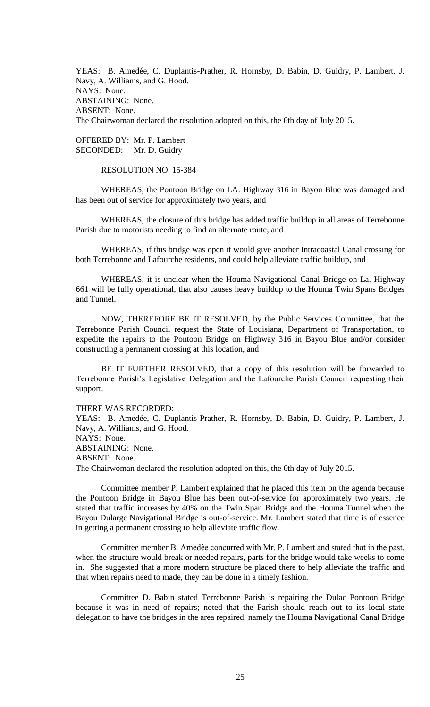YEAS: B. Amedée, C. Duplantis-Prather, R. Hornsby, D. Babin, D. Guidry, P. Lambert, J. Navy, A. Williams, and G. Hood. NAYS: None. ABSTAINING: None. ABSENT: None. The Chairwoman declared the resolution adopted on this, the 6th day of July 2015.

OFFERED BY: Mr. P. Lambert SECONDED: Mr. D. Guidry

RESOLUTION NO. 15-384

WHEREAS, the Pontoon Bridge on LA. Highway 316 in Bayou Blue was damaged and has been out of service for approximately two years, and

WHEREAS, the closure of this bridge has added traffic buildup in all areas of Terrebonne Parish due to motorists needing to find an alternate route, and

WHEREAS, if this bridge was open it would give another Intracoastal Canal crossing for both Terrebonne and Lafourche residents, and could help alleviate traffic buildup, and

WHEREAS, it is unclear when the Houma Navigational Canal Bridge on La. Highway 661 will be fully operational, that also causes heavy buildup to the Houma Twin Spans Bridges and Tunnel.

NOW, THEREFORE BE IT RESOLVED, by the Public Services Committee, that the Terrebonne Parish Council request the State of Louisiana, Department of Transportation, to expedite the repairs to the Pontoon Bridge on Highway 316 in Bayou Blue and/or consider constructing a permanent crossing at this location, and

BE IT FURTHER RESOLVED, that a copy of this resolution will be forwarded to Terrebonne Parish's Legislative Delegation and the Lafourche Parish Council requesting their support.

THERE WAS RECORDED:

YEAS: B. Amedée, C. Duplantis-Prather, R. Hornsby, D. Babin, D. Guidry, P. Lambert, J. Navy, A. Williams, and G. Hood. NAYS: None. ABSTAINING: None. ABSENT: None. The Chairwoman declared the resolution adopted on this, the 6th day of July 2015.

Committee member P. Lambert explained that he placed this item on the agenda because the Pontoon Bridge in Bayou Blue has been out-of-service for approximately two years. He stated that traffic increases by 40% on the Twin Span Bridge and the Houma Tunnel when the Bayou Dularge Navigational Bridge is out-of-service. Mr. Lambert stated that time is of essence in getting a permanent crossing to help alleviate traffic flow.

Committee member B. Amedѐe concurred with Mr. P. Lambert and stated that in the past, when the structure would break or needed repairs, parts for the bridge would take weeks to come in. She suggested that a more modern structure be placed there to help alleviate the traffic and that when repairs need to made, they can be done in a timely fashion.

Committee D. Babin stated Terrebonne Parish is repairing the Dulac Pontoon Bridge because it was in need of repairs; noted that the Parish should reach out to its local state delegation to have the bridges in the area repaired, namely the Houma Navigational Canal Bridge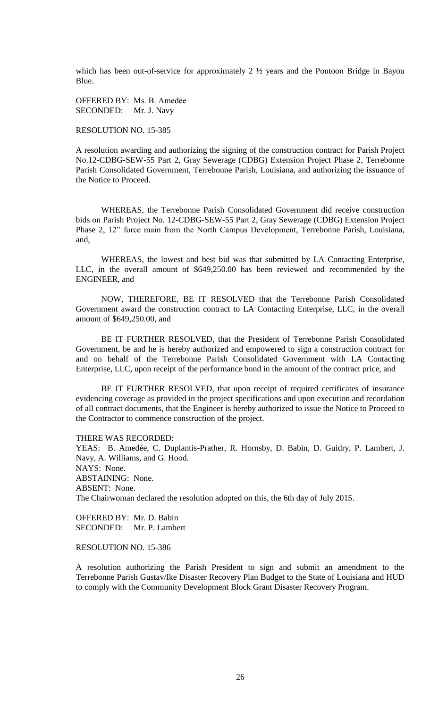which has been out-of-service for approximately 2 ½ years and the Pontoon Bridge in Bayou Blue.

OFFERED BY: Ms. B. Amedẻe SECONDED: Mr. J. Navy

RESOLUTION NO. 15-385

A resolution awarding and authorizing the signing of the construction contract for Parish Project No.12-CDBG-SEW-55 Part 2, Gray Sewerage (CDBG) Extension Project Phase 2, Terrebonne Parish Consolidated Government, Terrebonne Parish, Louisiana, and authorizing the issuance of the Notice to Proceed.

WHEREAS, the Terrebonne Parish Consolidated Government did receive construction bids on Parish Project No. 12-CDBG-SEW-55 Part 2, Gray Sewerage (CDBG) Extension Project Phase 2, 12" force main from the North Campus Development, Terrebonne Parish, Louisiana, and,

WHEREAS, the lowest and best bid was that submitted by LA Contacting Enterprise, LLC, in the overall amount of \$649,250.00 has been reviewed and recommended by the ENGINEER, and

NOW, THEREFORE, BE IT RESOLVED that the Terrebonne Parish Consolidated Government award the construction contract to LA Contacting Enterprise, LLC, in the overall amount of \$649,250.00, and

BE IT FURTHER RESOLVED, that the President of Terrebonne Parish Consolidated Government, be and he is hereby authorized and empowered to sign a construction contract for and on behalf of the Terrebonne Parish Consolidated Government with LA Contacting Enterprise, LLC, upon receipt of the performance bond in the amount of the contract price, and

BE IT FURTHER RESOLVED, that upon receipt of required certificates of insurance evidencing coverage as provided in the project specifications and upon execution and recordation of all contract documents, that the Engineer is hereby authorized to issue the Notice to Proceed to the Contractor to commence construction of the project.

THERE WAS RECORDED:

YEAS: B. Amedée, C. Duplantis-Prather, R. Hornsby, D. Babin, D. Guidry, P. Lambert, J. Navy, A. Williams, and G. Hood. NAYS: None. ABSTAINING: None. ABSENT: None. The Chairwoman declared the resolution adopted on this, the 6th day of July 2015.

OFFERED BY: Mr. D. Babin SECONDED: Mr. P. Lambert

RESOLUTION NO. 15-386

A resolution authorizing the Parish President to sign and submit an amendment to the Terrebonne Parish Gustav/Ike Disaster Recovery Plan Budget to the State of Louisiana and HUD to comply with the Community Development Block Grant Disaster Recovery Program.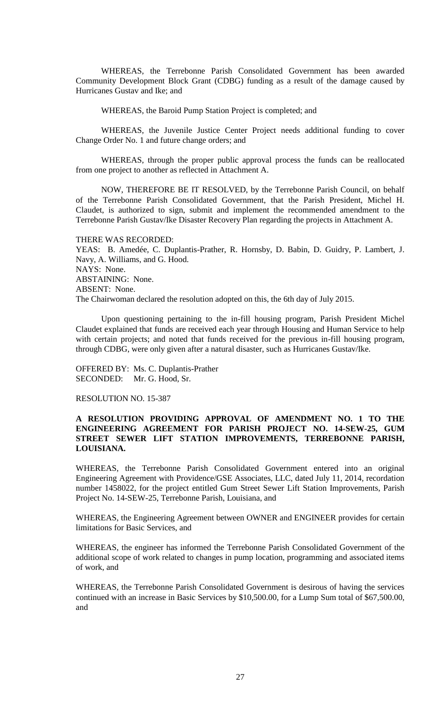WHEREAS, the Terrebonne Parish Consolidated Government has been awarded Community Development Block Grant (CDBG) funding as a result of the damage caused by Hurricanes Gustav and Ike; and

WHEREAS, the Baroid Pump Station Project is completed; and

WHEREAS, the Juvenile Justice Center Project needs additional funding to cover Change Order No. 1 and future change orders; and

WHEREAS, through the proper public approval process the funds can be reallocated from one project to another as reflected in Attachment A.

NOW, THEREFORE BE IT RESOLVED, by the Terrebonne Parish Council, on behalf of the Terrebonne Parish Consolidated Government, that the Parish President, Michel H. Claudet, is authorized to sign, submit and implement the recommended amendment to the Terrebonne Parish Gustav/Ike Disaster Recovery Plan regarding the projects in Attachment A.

THERE WAS RECORDED:

YEAS: B. Amedée, C. Duplantis-Prather, R. Hornsby, D. Babin, D. Guidry, P. Lambert, J. Navy, A. Williams, and G. Hood. NAYS: None. ABSTAINING: None. ABSENT: None. The Chairwoman declared the resolution adopted on this, the 6th day of July 2015.

Upon questioning pertaining to the in-fill housing program, Parish President Michel Claudet explained that funds are received each year through Housing and Human Service to help with certain projects; and noted that funds received for the previous in-fill housing program, through CDBG, were only given after a natural disaster, such as Hurricanes Gustav/Ike.

OFFERED BY: Ms. C. Duplantis-Prather SECONDED: Mr. G. Hood, Sr.

RESOLUTION NO. 15-387

# **A RESOLUTION PROVIDING APPROVAL OF AMENDMENT NO. 1 TO THE ENGINEERING AGREEMENT FOR PARISH PROJECT NO. 14-SEW-25, GUM STREET SEWER LIFT STATION IMPROVEMENTS, TERREBONNE PARISH, LOUISIANA.**

WHEREAS, the Terrebonne Parish Consolidated Government entered into an original Engineering Agreement with Providence/GSE Associates, LLC, dated July 11, 2014, recordation number 1458022, for the project entitled Gum Street Sewer Lift Station Improvements, Parish Project No. 14-SEW-25, Terrebonne Parish, Louisiana, and

WHEREAS, the Engineering Agreement between OWNER and ENGINEER provides for certain limitations for Basic Services, and

WHEREAS, the engineer has informed the Terrebonne Parish Consolidated Government of the additional scope of work related to changes in pump location, programming and associated items of work, and

WHEREAS, the Terrebonne Parish Consolidated Government is desirous of having the services continued with an increase in Basic Services by \$10,500.00, for a Lump Sum total of \$67,500.00, and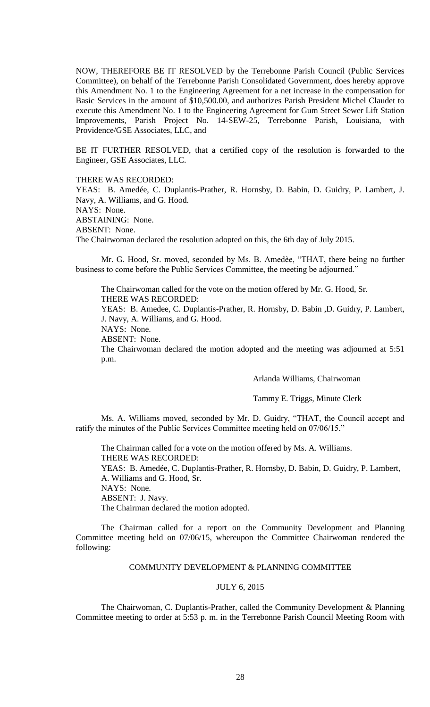NOW, THEREFORE BE IT RESOLVED by the Terrebonne Parish Council (Public Services Committee), on behalf of the Terrebonne Parish Consolidated Government, does hereby approve this Amendment No. 1 to the Engineering Agreement for a net increase in the compensation for Basic Services in the amount of \$10,500.00, and authorizes Parish President Michel Claudet to execute this Amendment No. 1 to the Engineering Agreement for Gum Street Sewer Lift Station Improvements, Parish Project No. 14-SEW-25, Terrebonne Parish, Louisiana, with Providence/GSE Associates, LLC, and

BE IT FURTHER RESOLVED, that a certified copy of the resolution is forwarded to the Engineer, GSE Associates, LLC.

THERE WAS RECORDED:

YEAS: B. Amedée, C. Duplantis-Prather, R. Hornsby, D. Babin, D. Guidry, P. Lambert, J. Navy, A. Williams, and G. Hood. NAYS: None. ABSTAINING: None. ABSENT: None. The Chairwoman declared the resolution adopted on this, the 6th day of July 2015.

Mr. G. Hood, Sr. moved, seconded by Ms. B. Amedѐe, "THAT, there being no further business to come before the Public Services Committee, the meeting be adjourned."

The Chairwoman called for the vote on the motion offered by Mr. G. Hood, Sr. THERE WAS RECORDED:

YEAS: B. Amedee, C. Duplantis-Prather, R. Hornsby, D. Babin ,D. Guidry, P. Lambert,

J. Navy, A. Williams, and G. Hood.

NAYS: None. ABSENT: None.

The Chairwoman declared the motion adopted and the meeting was adjourned at 5:51 p.m.

Arlanda Williams, Chairwoman

Tammy E. Triggs, Minute Clerk

Ms. A. Williams moved, seconded by Mr. D. Guidry, "THAT, the Council accept and ratify the minutes of the Public Services Committee meeting held on 07/06/15."

The Chairman called for a vote on the motion offered by Ms. A. Williams. THERE WAS RECORDED:

YEAS: B. Amedée, C. Duplantis-Prather, R. Hornsby, D. Babin, D. Guidry, P. Lambert, A. Williams and G. Hood, Sr.

NAYS: None.

ABSENT: J. Navy.

The Chairman declared the motion adopted.

The Chairman called for a report on the Community Development and Planning Committee meeting held on 07/06/15, whereupon the Committee Chairwoman rendered the following:

### COMMUNITY DEVELOPMENT & PLANNING COMMITTEE

## JULY 6, 2015

The Chairwoman, C. Duplantis-Prather, called the Community Development & Planning Committee meeting to order at 5:53 p. m. in the Terrebonne Parish Council Meeting Room with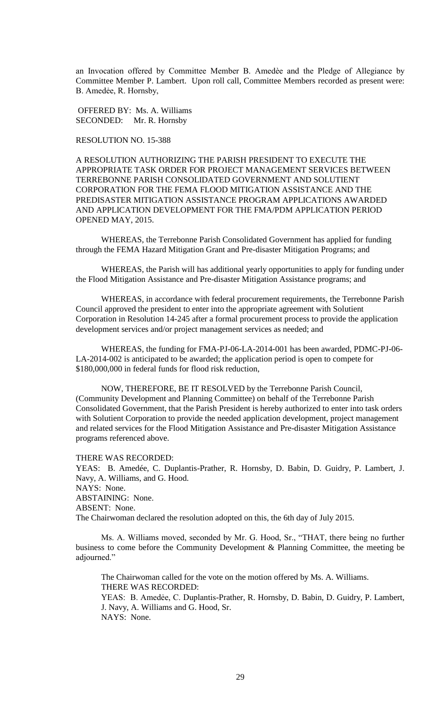an Invocation offered by Committee Member B. Amedèe and the Pledge of Allegiance by Committee Member P. Lambert. Upon roll call, Committee Members recorded as present were: B. Amedẻe, R. Hornsby,

OFFERED BY: Ms. A. Williams SECONDED: Mr. R. Hornsby

RESOLUTION NO. 15-388

A RESOLUTION AUTHORIZING THE PARISH PRESIDENT TO EXECUTE THE APPROPRIATE TASK ORDER FOR PROJECT MANAGEMENT SERVICES BETWEEN TERREBONNE PARISH CONSOLIDATED GOVERNMENT AND SOLUTIENT CORPORATION FOR THE FEMA FLOOD MITIGATION ASSISTANCE AND THE PREDISASTER MITIGATION ASSISTANCE PROGRAM APPLICATIONS AWARDED AND APPLICATION DEVELOPMENT FOR THE FMA/PDM APPLICATION PERIOD OPENED MAY, 2015.

WHEREAS, the Terrebonne Parish Consolidated Government has applied for funding through the FEMA Hazard Mitigation Grant and Pre-disaster Mitigation Programs; and

WHEREAS, the Parish will has additional yearly opportunities to apply for funding under the Flood Mitigation Assistance and Pre-disaster Mitigation Assistance programs; and

WHEREAS, in accordance with federal procurement requirements, the Terrebonne Parish Council approved the president to enter into the appropriate agreement with Solutient Corporation in Resolution 14-245 after a formal procurement process to provide the application development services and/or project management services as needed; and

WHEREAS, the funding for FMA-PJ-06-LA-2014-001 has been awarded, PDMC-PJ-06- LA-2014-002 is anticipated to be awarded; the application period is open to compete for \$180,000,000 in federal funds for flood risk reduction,

NOW, THEREFORE, BE IT RESOLVED by the Terrebonne Parish Council, (Community Development and Planning Committee) on behalf of the Terrebonne Parish Consolidated Government, that the Parish President is hereby authorized to enter into task orders with Solutient Corporation to provide the needed application development, project management and related services for the Flood Mitigation Assistance and Pre-disaster Mitigation Assistance programs referenced above.

THERE WAS RECORDED:

YEAS: B. Amedée, C. Duplantis-Prather, R. Hornsby, D. Babin, D. Guidry, P. Lambert, J. Navy, A. Williams, and G. Hood. NAYS: None. ABSTAINING: None. ABSENT: None. The Chairwoman declared the resolution adopted on this, the 6th day of July 2015.

Ms. A. Williams moved, seconded by Mr. G. Hood, Sr., "THAT, there being no further business to come before the Community Development & Planning Committee, the meeting be adjourned."

The Chairwoman called for the vote on the motion offered by Ms. A. Williams. THERE WAS RECORDED: YEAS: B. Amedẻe, C. Duplantis-Prather, R. Hornsby, D. Babin, D. Guidry, P. Lambert, J. Navy, A. Williams and G. Hood, Sr.

NAYS: None.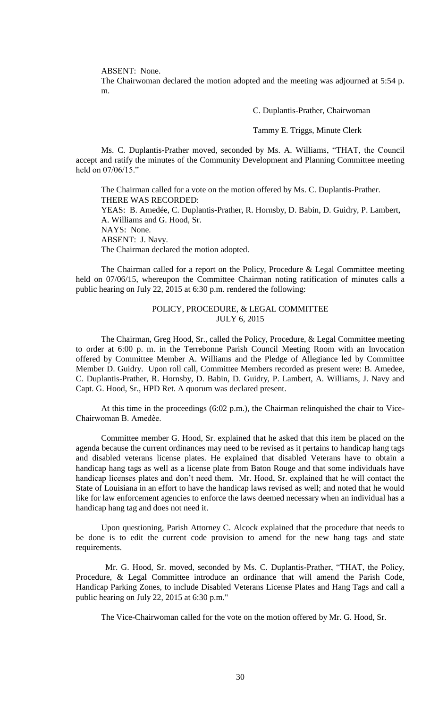ABSENT: None.

The Chairwoman declared the motion adopted and the meeting was adjourned at 5:54 p. m.

C. Duplantis-Prather, Chairwoman

Tammy E. Triggs, Minute Clerk

Ms. C. Duplantis-Prather moved, seconded by Ms. A. Williams, "THAT, the Council accept and ratify the minutes of the Community Development and Planning Committee meeting held on 07/06/15."

The Chairman called for a vote on the motion offered by Ms. C. Duplantis-Prather. THERE WAS RECORDED: YEAS: B. Amedée, C. Duplantis-Prather, R. Hornsby, D. Babin, D. Guidry, P. Lambert, A. Williams and G. Hood, Sr. NAYS: None. ABSENT: J. Navy. The Chairman declared the motion adopted.

The Chairman called for a report on the Policy, Procedure & Legal Committee meeting held on 07/06/15, whereupon the Committee Chairman noting ratification of minutes calls a public hearing on July 22, 2015 at 6:30 p.m. rendered the following:

# POLICY, PROCEDURE, & LEGAL COMMITTEE JULY 6, 2015

The Chairman, Greg Hood, Sr., called the Policy, Procedure, & Legal Committee meeting to order at 6:00 p. m. in the Terrebonne Parish Council Meeting Room with an Invocation offered by Committee Member A. Williams and the Pledge of Allegiance led by Committee Member D. Guidry. Upon roll call, Committee Members recorded as present were: B. Amedee, C. Duplantis-Prather, R. Hornsby, D. Babin, D. Guidry, P. Lambert, A. Williams, J. Navy and Capt. G. Hood, Sr., HPD Ret. A quorum was declared present.

At this time in the proceedings (6:02 p.m.), the Chairman relinquished the chair to Vice-Chairwoman B. Amedѐe.

Committee member G. Hood, Sr. explained that he asked that this item be placed on the agenda because the current ordinances may need to be revised as it pertains to handicap hang tags and disabled veterans license plates. He explained that disabled Veterans have to obtain a handicap hang tags as well as a license plate from Baton Rouge and that some individuals have handicap licenses plates and don't need them. Mr. Hood, Sr. explained that he will contact the State of Louisiana in an effort to have the handicap laws revised as well; and noted that he would like for law enforcement agencies to enforce the laws deemed necessary when an individual has a handicap hang tag and does not need it.

Upon questioning, Parish Attorney C. Alcock explained that the procedure that needs to be done is to edit the current code provision to amend for the new hang tags and state requirements.

 Mr. G. Hood, Sr. moved, seconded by Ms. C. Duplantis-Prather, "THAT, the Policy, Procedure, & Legal Committee introduce an ordinance that will amend the Parish Code, Handicap Parking Zones, to include Disabled Veterans License Plates and Hang Tags and call a public hearing on July 22, 2015 at 6:30 p.m."

The Vice-Chairwoman called for the vote on the motion offered by Mr. G. Hood, Sr.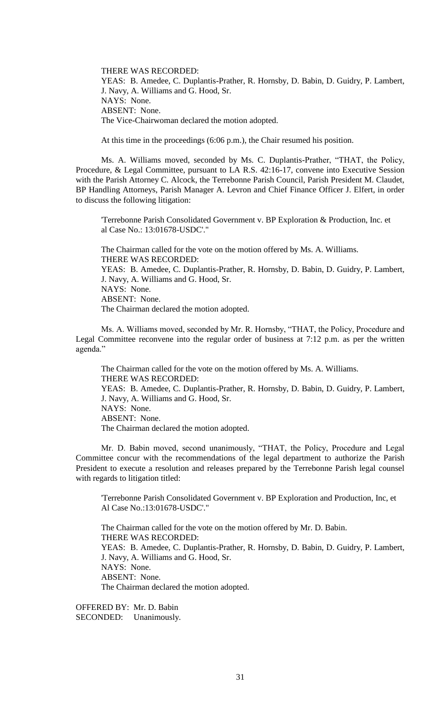THERE WAS RECORDED: YEAS: B. Amedee, C. Duplantis-Prather, R. Hornsby, D. Babin, D. Guidry, P. Lambert, J. Navy, A. Williams and G. Hood, Sr. NAYS: None. ABSENT: None. The Vice-Chairwoman declared the motion adopted.

At this time in the proceedings (6:06 p.m.), the Chair resumed his position.

 Ms. A. Williams moved, seconded by Ms. C. Duplantis-Prather, "THAT, the Policy, Procedure, & Legal Committee, pursuant to LA R.S. 42:16-17, convene into Executive Session with the Parish Attorney C. Alcock, the Terrebonne Parish Council, Parish President M. Claudet, BP Handling Attorneys, Parish Manager A. Levron and Chief Finance Officer J. Elfert, in order to discuss the following litigation:

'Terrebonne Parish Consolidated Government v. BP Exploration & Production, Inc. et al Case No.: 13:01678-USDC'."

The Chairman called for the vote on the motion offered by Ms. A. Williams. THERE WAS RECORDED: YEAS: B. Amedee, C. Duplantis-Prather, R. Hornsby, D. Babin, D. Guidry, P. Lambert, J. Navy, A. Williams and G. Hood, Sr. NAYS: None. ABSENT: None. The Chairman declared the motion adopted.

Ms. A. Williams moved, seconded by Mr. R. Hornsby, "THAT, the Policy, Procedure and Legal Committee reconvene into the regular order of business at 7:12 p.m. as per the written agenda."

The Chairman called for the vote on the motion offered by Ms. A. Williams. THERE WAS RECORDED: YEAS: B. Amedee, C. Duplantis-Prather, R. Hornsby, D. Babin, D. Guidry, P. Lambert, J. Navy, A. Williams and G. Hood, Sr. NAYS: None. ABSENT: None. The Chairman declared the motion adopted.

Mr. D. Babin moved, second unanimously, "THAT, the Policy, Procedure and Legal Committee concur with the recommendations of the legal department to authorize the Parish President to execute a resolution and releases prepared by the Terrebonne Parish legal counsel with regards to litigation titled:

'Terrebonne Parish Consolidated Government v. BP Exploration and Production, Inc, et Al Case No.:13:01678-USDC'."

The Chairman called for the vote on the motion offered by Mr. D. Babin. THERE WAS RECORDED: YEAS: B. Amedee, C. Duplantis-Prather, R. Hornsby, D. Babin, D. Guidry, P. Lambert, J. Navy, A. Williams and G. Hood, Sr. NAYS: None. ABSENT: None. The Chairman declared the motion adopted.

OFFERED BY: Mr. D. Babin SECONDED: Unanimously.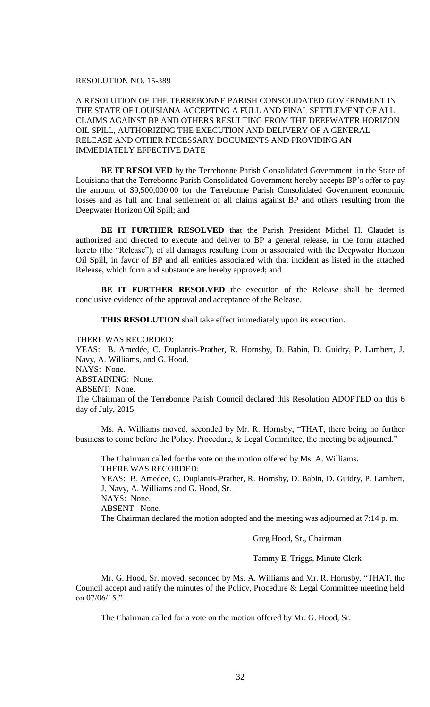## RESOLUTION NO. 15-389

A RESOLUTION OF THE TERREBONNE PARISH CONSOLIDATED GOVERNMENT IN THE STATE OF LOUISIANA ACCEPTING A FULL AND FINAL SETTLEMENT OF ALL CLAIMS AGAINST BP AND OTHERS RESULTING FROM THE DEEPWATER HORIZON OIL SPILL, AUTHORIZING THE EXECUTION AND DELIVERY OF A GENERAL RELEASE AND OTHER NECESSARY DOCUMENTS AND PROVIDING AN IMMEDIATELY EFFECTIVE DATE

**BE IT RESOLVED** by the Terrebonne Parish Consolidated Government in the State of Louisiana that the Terrebonne Parish Consolidated Government hereby accepts BP's offer to pay the amount of \$9,500,000.00 for the Terrebonne Parish Consolidated Government economic losses and as full and final settlement of all claims against BP and others resulting from the Deepwater Horizon Oil Spill; and

**BE IT FURTHER RESOLVED** that the Parish President Michel H. Claudet is authorized and directed to execute and deliver to BP a general release, in the form attached hereto (the "Release"), of all damages resulting from or associated with the Deepwater Horizon Oil Spill, in favor of BP and all entities associated with that incident as listed in the attached Release, which form and substance are hereby approved; and

**BE IT FURTHER RESOLVED** the execution of the Release shall be deemed conclusive evidence of the approval and acceptance of the Release.

**THIS RESOLUTION** shall take effect immediately upon its execution.

THERE WAS RECORDED:

YEAS: B. Amedée, C. Duplantis-Prather, R. Hornsby, D. Babin, D. Guidry, P. Lambert, J. Navy, A. Williams, and G. Hood. NAYS: None.

ABSTAINING: None.

ABSENT: None.

The Chairman of the Terrebonne Parish Council declared this Resolution ADOPTED on this 6 day of July, 2015.

Ms. A. Williams moved, seconded by Mr. R. Hornsby, "THAT, there being no further business to come before the Policy, Procedure, & Legal Committee, the meeting be adjourned."

The Chairman called for the vote on the motion offered by Ms. A. Williams. THERE WAS RECORDED:

YEAS: B. Amedee, C. Duplantis-Prather, R. Hornsby, D. Babin, D. Guidry, P. Lambert, J. Navy, A. Williams and G. Hood, Sr.

NAYS: None.

ABSENT: None.

The Chairman declared the motion adopted and the meeting was adjourned at 7:14 p. m.

Greg Hood, Sr., Chairman

Tammy E. Triggs, Minute Clerk

Mr. G. Hood, Sr. moved, seconded by Ms. A. Williams and Mr. R. Hornsby, "THAT, the Council accept and ratify the minutes of the Policy, Procedure & Legal Committee meeting held on 07/06/15."

The Chairman called for a vote on the motion offered by Mr. G. Hood, Sr.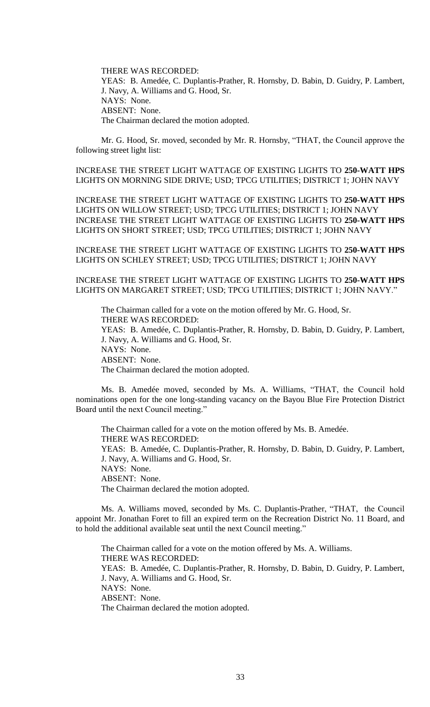THERE WAS RECORDED: YEAS: B. Amedée, C. Duplantis-Prather, R. Hornsby, D. Babin, D. Guidry, P. Lambert, J. Navy, A. Williams and G. Hood, Sr. NAYS: None. ABSENT: None. The Chairman declared the motion adopted.

Mr. G. Hood, Sr. moved, seconded by Mr. R. Hornsby, "THAT, the Council approve the following street light list:

INCREASE THE STREET LIGHT WATTAGE OF EXISTING LIGHTS TO **250-WATT HPS** LIGHTS ON MORNING SIDE DRIVE; USD; TPCG UTILITIES; DISTRICT 1; JOHN NAVY

INCREASE THE STREET LIGHT WATTAGE OF EXISTING LIGHTS TO **250-WATT HPS** LIGHTS ON WILLOW STREET; USD; TPCG UTILITIES; DISTRICT 1; JOHN NAVY INCREASE THE STREET LIGHT WATTAGE OF EXISTING LIGHTS TO **250-WATT HPS** LIGHTS ON SHORT STREET; USD; TPCG UTILITIES; DISTRICT 1; JOHN NAVY

INCREASE THE STREET LIGHT WATTAGE OF EXISTING LIGHTS TO **250-WATT HPS** LIGHTS ON SCHLEY STREET; USD; TPCG UTILITIES; DISTRICT 1; JOHN NAVY

INCREASE THE STREET LIGHT WATTAGE OF EXISTING LIGHTS TO **250-WATT HPS** LIGHTS ON MARGARET STREET; USD; TPCG UTILITIES; DISTRICT 1; JOHN NAVY."

The Chairman called for a vote on the motion offered by Mr. G. Hood, Sr. THERE WAS RECORDED: YEAS: B. Amedée, C. Duplantis-Prather, R. Hornsby, D. Babin, D. Guidry, P. Lambert, J. Navy, A. Williams and G. Hood, Sr. NAYS: None. ABSENT: None. The Chairman declared the motion adopted.

Ms. B. Amedée moved, seconded by Ms. A. Williams, "THAT, the Council hold nominations open for the one long-standing vacancy on the Bayou Blue Fire Protection District Board until the next Council meeting."

The Chairman called for a vote on the motion offered by Ms. B. Amedée. THERE WAS RECORDED: YEAS: B. Amedée, C. Duplantis-Prather, R. Hornsby, D. Babin, D. Guidry, P. Lambert, J. Navy, A. Williams and G. Hood, Sr. NAYS: None. ABSENT: None. The Chairman declared the motion adopted.

Ms. A. Williams moved, seconded by Ms. C. Duplantis-Prather, "THAT, the Council appoint Mr. Jonathan Foret to fill an expired term on the Recreation District No. 11 Board, and to hold the additional available seat until the next Council meeting."

The Chairman called for a vote on the motion offered by Ms. A. Williams. THERE WAS RECORDED: YEAS: B. Amedée, C. Duplantis-Prather, R. Hornsby, D. Babin, D. Guidry, P. Lambert, J. Navy, A. Williams and G. Hood, Sr. NAYS: None. ABSENT: None. The Chairman declared the motion adopted.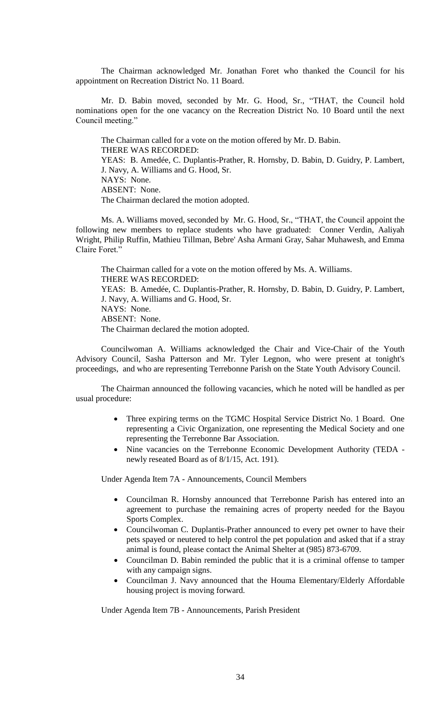The Chairman acknowledged Mr. Jonathan Foret who thanked the Council for his appointment on Recreation District No. 11 Board.

Mr. D. Babin moved, seconded by Mr. G. Hood, Sr., "THAT, the Council hold nominations open for the one vacancy on the Recreation District No. 10 Board until the next Council meeting."

The Chairman called for a vote on the motion offered by Mr. D. Babin. THERE WAS RECORDED: YEAS: B. Amedée, C. Duplantis-Prather, R. Hornsby, D. Babin, D. Guidry, P. Lambert, J. Navy, A. Williams and G. Hood, Sr. NAYS: None. ABSENT: None. The Chairman declared the motion adopted.

Ms. A. Williams moved, seconded by Mr. G. Hood, Sr., "THAT, the Council appoint the following new members to replace students who have graduated: Conner Verdin, Aaliyah Wright, Philip Ruffin, Mathieu Tillman, Bebre' Asha Armani Gray, Sahar Muhawesh, and Emma Claire Foret."

The Chairman called for a vote on the motion offered by Ms. A. Williams. THERE WAS RECORDED: YEAS: B. Amedée, C. Duplantis-Prather, R. Hornsby, D. Babin, D. Guidry, P. Lambert, J. Navy, A. Williams and G. Hood, Sr. NAYS: None. ABSENT: None. The Chairman declared the motion adopted.

Councilwoman A. Williams acknowledged the Chair and Vice-Chair of the Youth Advisory Council, Sasha Patterson and Mr. Tyler Legnon, who were present at tonight's proceedings, and who are representing Terrebonne Parish on the State Youth Advisory Council.

The Chairman announced the following vacancies, which he noted will be handled as per usual procedure:

- Three expiring terms on the TGMC Hospital Service District No. 1 Board. One representing a Civic Organization, one representing the Medical Society and one representing the Terrebonne Bar Association.
- Nine vacancies on the Terrebonne Economic Development Authority (TEDA newly reseated Board as of 8/1/15, Act. 191).

Under Agenda Item 7A - Announcements, Council Members

- Councilman R. Hornsby announced that Terrebonne Parish has entered into an agreement to purchase the remaining acres of property needed for the Bayou Sports Complex.
- Councilwoman C. Duplantis-Prather announced to every pet owner to have their pets spayed or neutered to help control the pet population and asked that if a stray animal is found, please contact the Animal Shelter at (985) 873-6709.
- Councilman D. Babin reminded the public that it is a criminal offense to tamper with any campaign signs.
- Councilman J. Navy announced that the Houma Elementary/Elderly Affordable housing project is moving forward.

Under Agenda Item 7B - Announcements, Parish President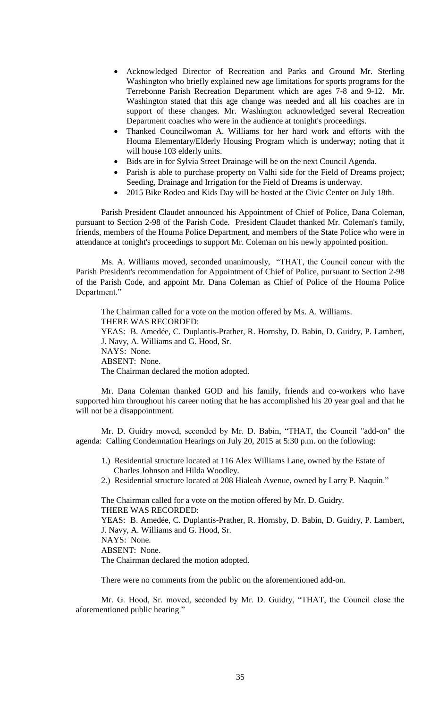- Acknowledged Director of Recreation and Parks and Ground Mr. Sterling Washington who briefly explained new age limitations for sports programs for the Terrebonne Parish Recreation Department which are ages 7-8 and 9-12. Mr. Washington stated that this age change was needed and all his coaches are in support of these changes. Mr. Washington acknowledged several Recreation Department coaches who were in the audience at tonight's proceedings.
- Thanked Councilwoman A. Williams for her hard work and efforts with the Houma Elementary/Elderly Housing Program which is underway; noting that it will house 103 elderly units.
- Bids are in for Sylvia Street Drainage will be on the next Council Agenda.
- Parish is able to purchase property on Valhi side for the Field of Dreams project; Seeding, Drainage and Irrigation for the Field of Dreams is underway.
- 2015 Bike Rodeo and Kids Day will be hosted at the Civic Center on July 18th.

Parish President Claudet announced his Appointment of Chief of Police, Dana Coleman, pursuant to Section 2-98 of the Parish Code. President Claudet thanked Mr. Coleman's family, friends, members of the Houma Police Department, and members of the State Police who were in attendance at tonight's proceedings to support Mr. Coleman on his newly appointed position.

Ms. A. Williams moved, seconded unanimously, "THAT, the Council concur with the Parish President's recommendation for Appointment of Chief of Police, pursuant to Section 2-98 of the Parish Code, and appoint Mr. Dana Coleman as Chief of Police of the Houma Police Department."

The Chairman called for a vote on the motion offered by Ms. A. Williams. THERE WAS RECORDED: YEAS: B. Amedée, C. Duplantis-Prather, R. Hornsby, D. Babin, D. Guidry, P. Lambert, J. Navy, A. Williams and G. Hood, Sr. NAYS: None. ABSENT: None. The Chairman declared the motion adopted.

Mr. Dana Coleman thanked GOD and his family, friends and co-workers who have supported him throughout his career noting that he has accomplished his 20 year goal and that he will not be a disappointment.

Mr. D. Guidry moved, seconded by Mr. D. Babin, "THAT, the Council "add-on" the agenda: Calling Condemnation Hearings on July 20, 2015 at 5:30 p.m. on the following:

- 1.) Residential structure located at 116 Alex Williams Lane, owned by the Estate of Charles Johnson and Hilda Woodley.
- 2.) Residential structure located at 208 Hialeah Avenue, owned by Larry P. Naquin."

The Chairman called for a vote on the motion offered by Mr. D. Guidry. THERE WAS RECORDED: YEAS: B. Amedée, C. Duplantis-Prather, R. Hornsby, D. Babin, D. Guidry, P. Lambert, J. Navy, A. Williams and G. Hood, Sr. NAYS: None. ABSENT: None. The Chairman declared the motion adopted.

There were no comments from the public on the aforementioned add-on.

Mr. G. Hood, Sr. moved, seconded by Mr. D. Guidry, "THAT, the Council close the aforementioned public hearing."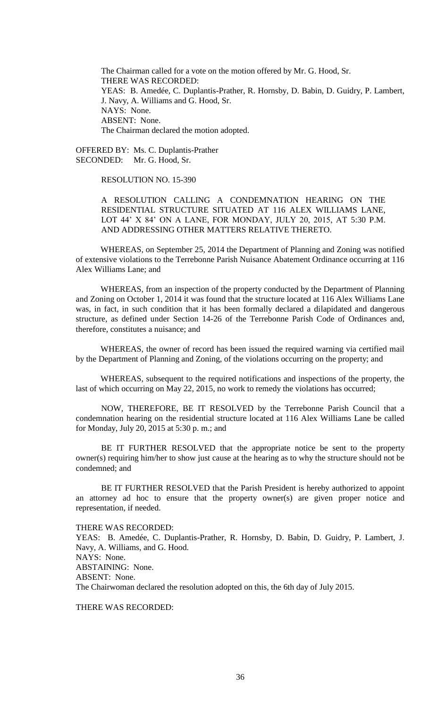The Chairman called for a vote on the motion offered by Mr. G. Hood, Sr. THERE WAS RECORDED: YEAS: B. Amedée, C. Duplantis-Prather, R. Hornsby, D. Babin, D. Guidry, P. Lambert, J. Navy, A. Williams and G. Hood, Sr. NAYS: None. ABSENT: None. The Chairman declared the motion adopted.

OFFERED BY: Ms. C. Duplantis-Prather SECONDED: Mr. G. Hood, Sr.

## RESOLUTION NO. 15-390

A RESOLUTION CALLING A CONDEMNATION HEARING ON THE RESIDENTIAL STRUCTURE SITUATED AT 116 ALEX WILLIAMS LANE, LOT 44' X 84' ON A LANE, FOR MONDAY, JULY 20, 2015, AT 5:30 P.M. AND ADDRESSING OTHER MATTERS RELATIVE THERETO.

WHEREAS, on September 25, 2014 the Department of Planning and Zoning was notified of extensive violations to the Terrebonne Parish Nuisance Abatement Ordinance occurring at 116 Alex Williams Lane; and

WHEREAS, from an inspection of the property conducted by the Department of Planning and Zoning on October 1, 2014 it was found that the structure located at 116 Alex Williams Lane was, in fact, in such condition that it has been formally declared a dilapidated and dangerous structure, as defined under Section 14-26 of the Terrebonne Parish Code of Ordinances and, therefore, constitutes a nuisance; and

WHEREAS, the owner of record has been issued the required warning via certified mail by the Department of Planning and Zoning, of the violations occurring on the property; and

WHEREAS, subsequent to the required notifications and inspections of the property, the last of which occurring on May 22, 2015, no work to remedy the violations has occurred;

NOW, THEREFORE, BE IT RESOLVED by the Terrebonne Parish Council that a condemnation hearing on the residential structure located at 116 Alex Williams Lane be called for Monday, July 20, 2015 at 5:30 p. m.; and

BE IT FURTHER RESOLVED that the appropriate notice be sent to the property owner(s) requiring him/her to show just cause at the hearing as to why the structure should not be condemned; and

BE IT FURTHER RESOLVED that the Parish President is hereby authorized to appoint an attorney ad hoc to ensure that the property owner(s) are given proper notice and representation, if needed.

THERE WAS RECORDED: YEAS: B. Amedée, C. Duplantis-Prather, R. Hornsby, D. Babin, D. Guidry, P. Lambert, J. Navy, A. Williams, and G. Hood. NAYS: None. ABSTAINING: None. ABSENT: None. The Chairwoman declared the resolution adopted on this, the 6th day of July 2015.

THERE WAS RECORDED: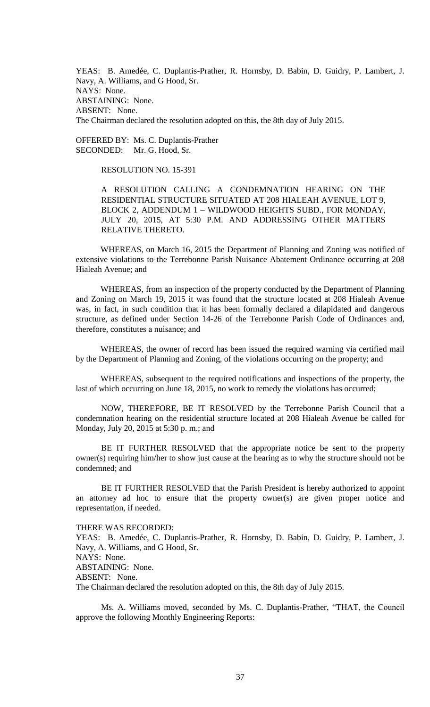YEAS: B. Amedée, C. Duplantis-Prather, R. Hornsby, D. Babin, D. Guidry, P. Lambert, J. Navy, A. Williams, and G Hood, Sr. NAYS: None. ABSTAINING: None. ABSENT: None. The Chairman declared the resolution adopted on this, the 8th day of July 2015.

OFFERED BY: Ms. C. Duplantis-Prather SECONDED: Mr. G. Hood, Sr.

RESOLUTION NO. 15-391

A RESOLUTION CALLING A CONDEMNATION HEARING ON THE RESIDENTIAL STRUCTURE SITUATED AT 208 HIALEAH AVENUE, LOT 9, BLOCK 2, ADDENDUM 1 – WILDWOOD HEIGHTS SUBD., FOR MONDAY, JULY 20, 2015, AT 5:30 P.M. AND ADDRESSING OTHER MATTERS RELATIVE THERETO.

WHEREAS, on March 16, 2015 the Department of Planning and Zoning was notified of extensive violations to the Terrebonne Parish Nuisance Abatement Ordinance occurring at 208 Hialeah Avenue; and

WHEREAS, from an inspection of the property conducted by the Department of Planning and Zoning on March 19, 2015 it was found that the structure located at 208 Hialeah Avenue was, in fact, in such condition that it has been formally declared a dilapidated and dangerous structure, as defined under Section 14-26 of the Terrebonne Parish Code of Ordinances and, therefore, constitutes a nuisance; and

WHEREAS, the owner of record has been issued the required warning via certified mail by the Department of Planning and Zoning, of the violations occurring on the property; and

WHEREAS, subsequent to the required notifications and inspections of the property, the last of which occurring on June 18, 2015, no work to remedy the violations has occurred;

NOW, THEREFORE, BE IT RESOLVED by the Terrebonne Parish Council that a condemnation hearing on the residential structure located at 208 Hialeah Avenue be called for Monday, July 20, 2015 at 5:30 p. m.; and

BE IT FURTHER RESOLVED that the appropriate notice be sent to the property owner(s) requiring him/her to show just cause at the hearing as to why the structure should not be condemned; and

BE IT FURTHER RESOLVED that the Parish President is hereby authorized to appoint an attorney ad hoc to ensure that the property owner(s) are given proper notice and representation, if needed.

THERE WAS RECORDED: YEAS: B. Amedée, C. Duplantis-Prather, R. Hornsby, D. Babin, D. Guidry, P. Lambert, J. Navy, A. Williams, and G Hood, Sr. NAYS: None. ABSTAINING: None. ABSENT: None. The Chairman declared the resolution adopted on this, the 8th day of July 2015.

Ms. A. Williams moved, seconded by Ms. C. Duplantis-Prather, "THAT, the Council approve the following Monthly Engineering Reports: